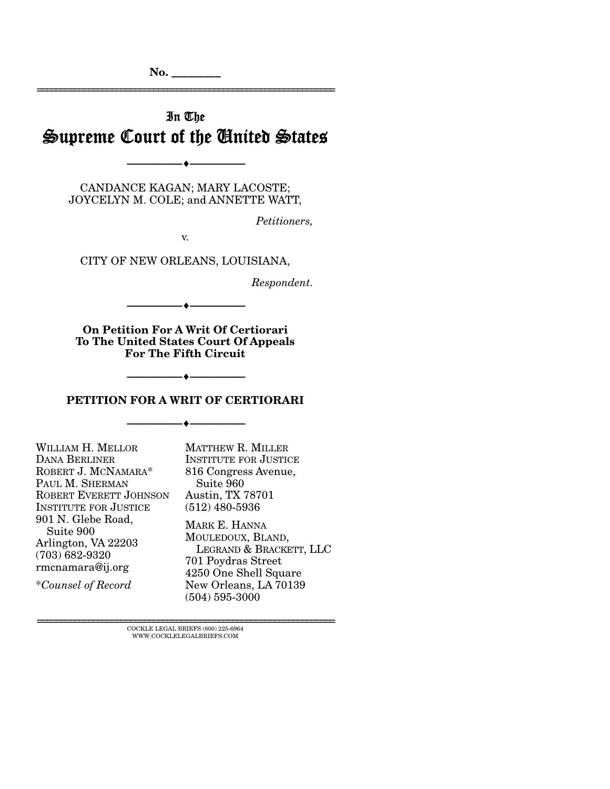# In The Supreme Court of the United States

CANDANCE KAGAN; MARY LACOSTE; JOYCELYN M. COLE; and ANNETTE WATT,

--------------------------------- ---------------------------------

*Petitioners,* 

================================================================

v.

CITY OF NEW ORLEANS, LOUISIANA,

*Respondent.* 

**On Petition For A Writ Of Certiorari To The United States Court Of Appeals For The Fifth Circuit** 

--------------------------------- ---------------------------------

#### **PETITION FOR A WRIT OF CERTIORARI**

--------------------------------- ---------------------------------

--------------------------------- ---------------------------------

| WILLIAM H. MELLOR                                                                                | <b>MATTHEW R. MILLER</b>                                                                                     |
|--------------------------------------------------------------------------------------------------|--------------------------------------------------------------------------------------------------------------|
| <b>DANA BERLINER</b>                                                                             | <b>INSTITUTE FOR JUSTICE</b>                                                                                 |
| ROBERT J. MCNAMARA*                                                                              | 816 Congress Avenue,                                                                                         |
| PAUL M. SHERMAN                                                                                  | Suite 960                                                                                                    |
| ROBERT EVERETT JOHNSON                                                                           | <b>Austin, TX 78701</b>                                                                                      |
| <b>INSTITUTE FOR JUSTICE</b>                                                                     | $(512)$ 480-5936                                                                                             |
| 901 N. Glebe Road,<br>Suite 900<br>Arlington, VA 22203<br>$(703) 682 - 9320$<br>rmcnamara@ij.org | MARK E. HANNA<br>MOULEDOUX, BLAND,<br>LEGRAND & BRACKETT, LLC<br>701 Poydras Street<br>4250 One Shell Square |
| <i>*Counsel of Record</i>                                                                        | New Orleans, LA 70139<br>$(504) 595 - 3000$                                                                  |

================================================================ COCKLE LEGAL BRIEFS (800) 225-6964 WWW.COCKLELEGALBRIEFS.COM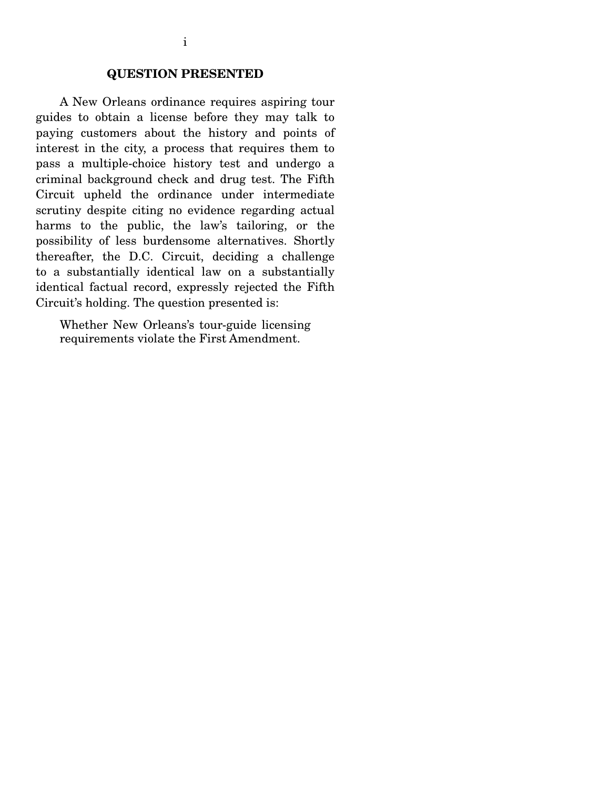# **QUESTION PRESENTED**

 A New Orleans ordinance requires aspiring tour guides to obtain a license before they may talk to paying customers about the history and points of interest in the city, a process that requires them to pass a multiple-choice history test and undergo a criminal background check and drug test. The Fifth Circuit upheld the ordinance under intermediate scrutiny despite citing no evidence regarding actual harms to the public, the law's tailoring, or the possibility of less burdensome alternatives. Shortly thereafter, the D.C. Circuit, deciding a challenge to a substantially identical law on a substantially identical factual record, expressly rejected the Fifth Circuit's holding. The question presented is:

Whether New Orleans's tour-guide licensing requirements violate the First Amendment.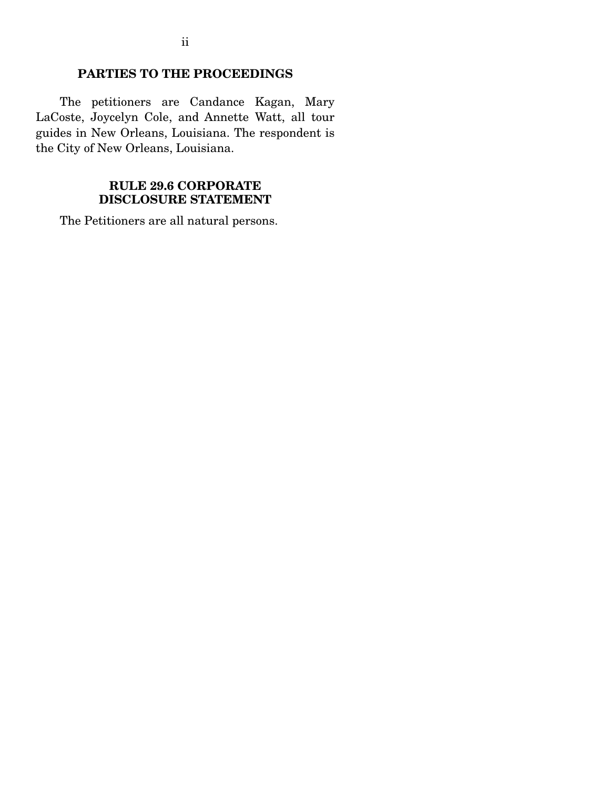# **PARTIES TO THE PROCEEDINGS**

 The petitioners are Candance Kagan, Mary LaCoste, Joycelyn Cole, and Annette Watt, all tour guides in New Orleans, Louisiana. The respondent is the City of New Orleans, Louisiana.

## **RULE 29.6 CORPORATE DISCLOSURE STATEMENT**

The Petitioners are all natural persons.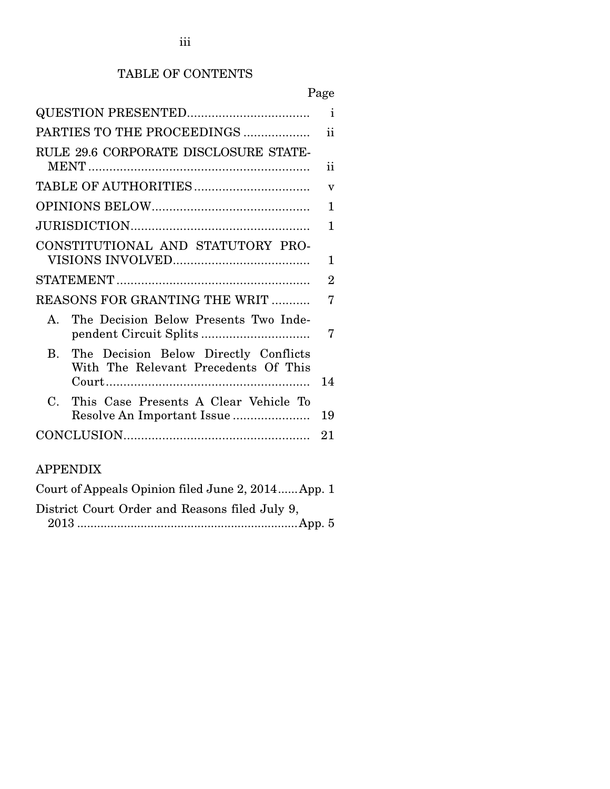# TABLE OF CONTENTS

| ျှ တ<br>c |
|-----------|
|-----------|

|                                                                                               | $\mathbf{i}$            |  |
|-----------------------------------------------------------------------------------------------|-------------------------|--|
| PARTIES TO THE PROCEEDINGS                                                                    |                         |  |
| RULE 29.6 CORPORATE DISCLOSURE STATE-                                                         | 11                      |  |
|                                                                                               | $\overline{\mathbf{V}}$ |  |
|                                                                                               | 1                       |  |
|                                                                                               | 1                       |  |
| CONSTITUTIONAL AND STATUTORY PRO-                                                             |                         |  |
|                                                                                               |                         |  |
| REASONS FOR GRANTING THE WRIT                                                                 |                         |  |
| The Decision Below Presents Two Inde-<br>$\mathbf{A}$                                         | 7                       |  |
| The Decision Below Directly Conflicts<br>$\mathbf{R}$<br>With The Relevant Precedents Of This | 14                      |  |
| $\mathcal{C}$ .<br>This Case Presents A Clear Vehicle To                                      | 19                      |  |
|                                                                                               | 21                      |  |
|                                                                                               |                         |  |

# APPENDIX

| Court of Appeals Opinion filed June 2, 2014 App. 1 |
|----------------------------------------------------|
| District Court Order and Reasons filed July 9,     |
|                                                    |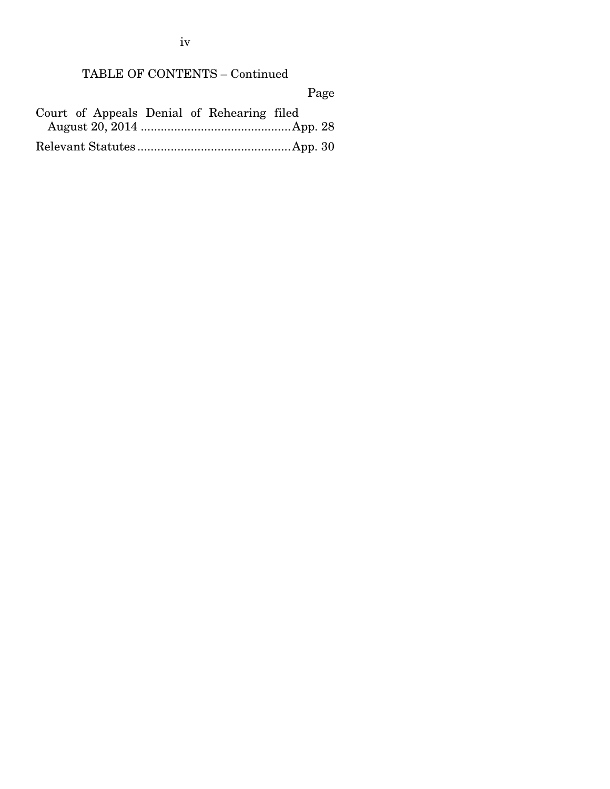TABLE OF CONTENTS – Continued

Page

|  |  | Court of Appeals Denial of Rehearing filed |  |
|--|--|--------------------------------------------|--|
|  |  |                                            |  |
|  |  |                                            |  |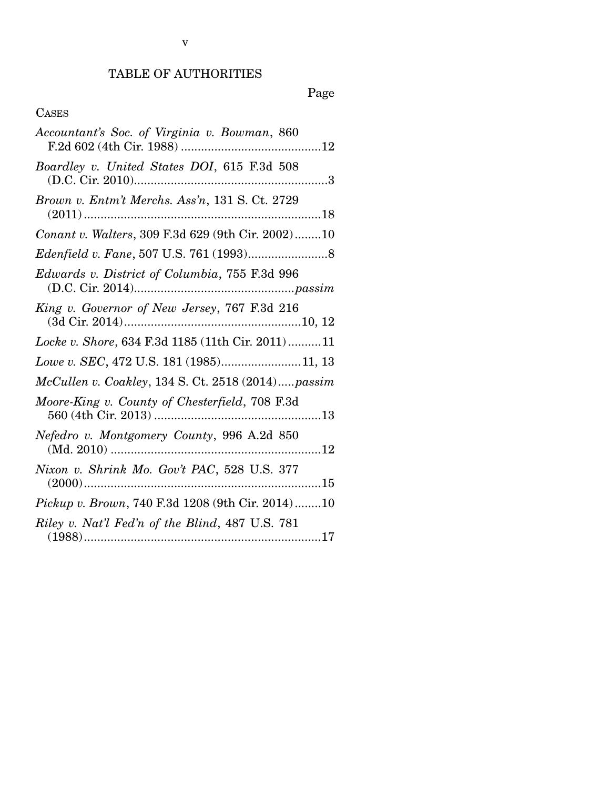# TABLE OF AUTHORITIES

# Page

# CASES

| Accountant's Soc. of Virginia v. Bowman, 860      |
|---------------------------------------------------|
| Boardley v. United States DOI, 615 F.3d 508       |
| Brown v. Entm't Merchs. Ass'n, 131 S. Ct. 2729    |
| Conant v. Walters, 309 F.3d 629 (9th Cir. 2002)10 |
|                                                   |
| Edwards v. District of Columbia, 755 F.3d 996     |
| King v. Governor of New Jersey, 767 F.3d 216      |
| Locke v. Shore, 634 F.3d 1185 (11th Cir. 2011)11  |
| Lowe v. SEC, 472 U.S. 181 (1985)11, 13            |
| McCullen v. Coakley, 134 S. Ct. 2518 (2014)passim |
| Moore-King v. County of Chesterfield, 708 F.3d    |
| Nefedro v. Montgomery County, 996 A.2d 850        |
| Nixon v. Shrink Mo. Gov't PAC, 528 U.S. 377       |
| Pickup v. Brown, 740 F.3d 1208 (9th Cir. 2014)10  |
| Riley v. Nat'l Fed'n of the Blind, 487 U.S. 781   |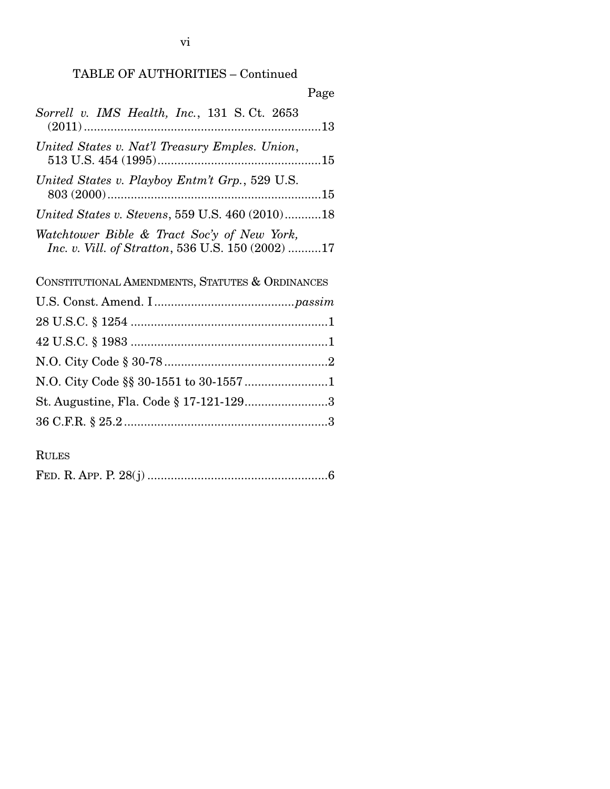# TABLE OF AUTHORITIES – Continued

| Page                                                                                                    |
|---------------------------------------------------------------------------------------------------------|
| Sorrell v. IMS Health, Inc., 131 S.Ct. 2653                                                             |
| United States v. Nat'l Treasury Emples. Union,                                                          |
| United States v. Playboy Entm't Grp., 529 U.S.                                                          |
| United States v. Stevens, 559 U.S. 460 (2010)18                                                         |
| Watchtower Bible & Tract Soc'y of New York,<br><i>Inc. v. Vill. of Stratton,</i> 536 U.S. 150 (2002) 17 |
| CONSTITUTIONAL AMENDMENTS, STATUTES & ORDINANCES                                                        |
|                                                                                                         |
|                                                                                                         |
|                                                                                                         |
|                                                                                                         |
|                                                                                                         |
|                                                                                                         |
| St. Augustine, Fla. Code § 17-121-1293                                                                  |
|                                                                                                         |

RULES

|--|--|--|--|--|--|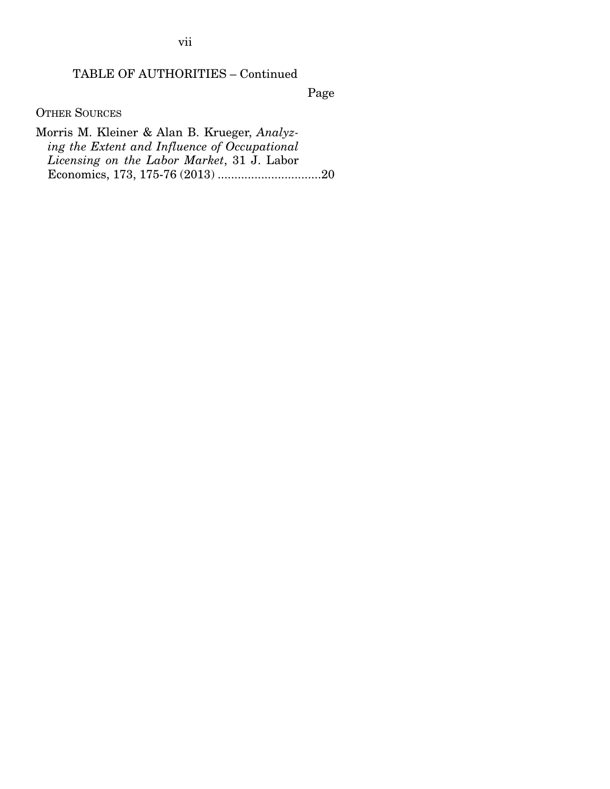vii

# TABLE OF AUTHORITIES – Continued

Page

OTHER SOURCES

Morris M. Kleiner & Alan B. Krueger, *Analyzing the Extent and Influence of Occupational Licensing on the Labor Market*, 31 J. Labor Economics, 173, 175-76 (2013) ............................... 20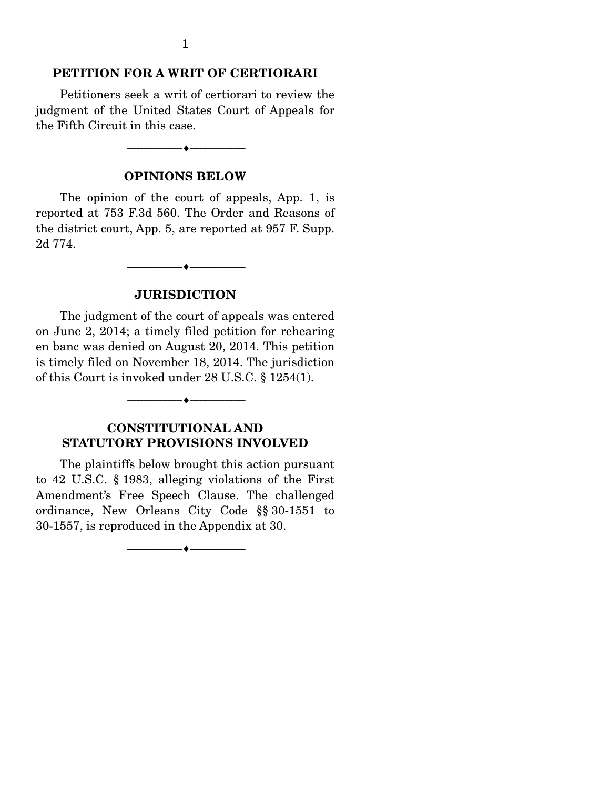#### **PETITION FOR A WRIT OF CERTIORARI**

 Petitioners seek a writ of certiorari to review the judgment of the United States Court of Appeals for the Fifth Circuit in this case.

#### **OPINIONS BELOW**

--------------------------------- ---------------------------------

 The opinion of the court of appeals, App. 1, is reported at 753 F.3d 560. The Order and Reasons of the district court, App. 5, are reported at 957 F. Supp. 2d 774.

#### **JURISDICTION**

--------------------------------- ---------------------------------

 The judgment of the court of appeals was entered on June 2, 2014; a timely filed petition for rehearing en banc was denied on August 20, 2014. This petition is timely filed on November 18, 2014. The jurisdiction of this Court is invoked under 28 U.S.C. § 1254(1).

# **CONSTITUTIONAL AND STATUTORY PROVISIONS INVOLVED**

--------------------------------- ---------------------------------

 The plaintiffs below brought this action pursuant to 42 U.S.C. § 1983, alleging violations of the First Amendment's Free Speech Clause. The challenged ordinance, New Orleans City Code §§ 30-1551 to 30-1557, is reproduced in the Appendix at 30.

--------------------------------- ---------------------------------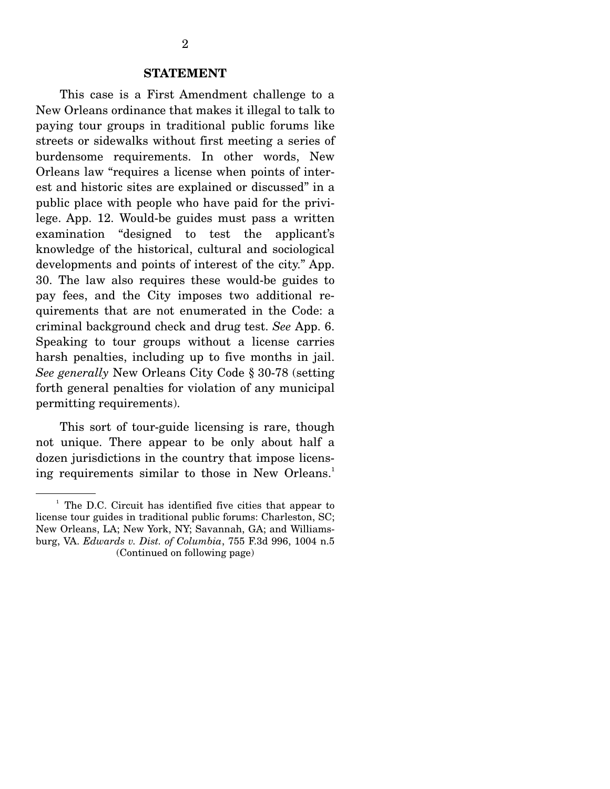#### **STATEMENT**

 This case is a First Amendment challenge to a New Orleans ordinance that makes it illegal to talk to paying tour groups in traditional public forums like streets or sidewalks without first meeting a series of burdensome requirements. In other words, New Orleans law "requires a license when points of interest and historic sites are explained or discussed" in a public place with people who have paid for the privilege. App. 12. Would-be guides must pass a written examination "designed to test the applicant's knowledge of the historical, cultural and sociological developments and points of interest of the city." App. 30. The law also requires these would-be guides to pay fees, and the City imposes two additional requirements that are not enumerated in the Code: a criminal background check and drug test. *See* App. 6. Speaking to tour groups without a license carries harsh penalties, including up to five months in jail. *See generally* New Orleans City Code § 30-78 (setting forth general penalties for violation of any municipal permitting requirements).

 This sort of tour-guide licensing is rare, though not unique. There appear to be only about half a dozen jurisdictions in the country that impose licensing requirements similar to those in New Orleans.<sup>1</sup>

<sup>&</sup>lt;sup>1</sup> The D.C. Circuit has identified five cities that appear to license tour guides in traditional public forums: Charleston, SC; New Orleans, LA; New York, NY; Savannah, GA; and Williamsburg, VA. *Edwards v. Dist. of Columbia*, 755 F.3d 996, 1004 n.5 (Continued on following page)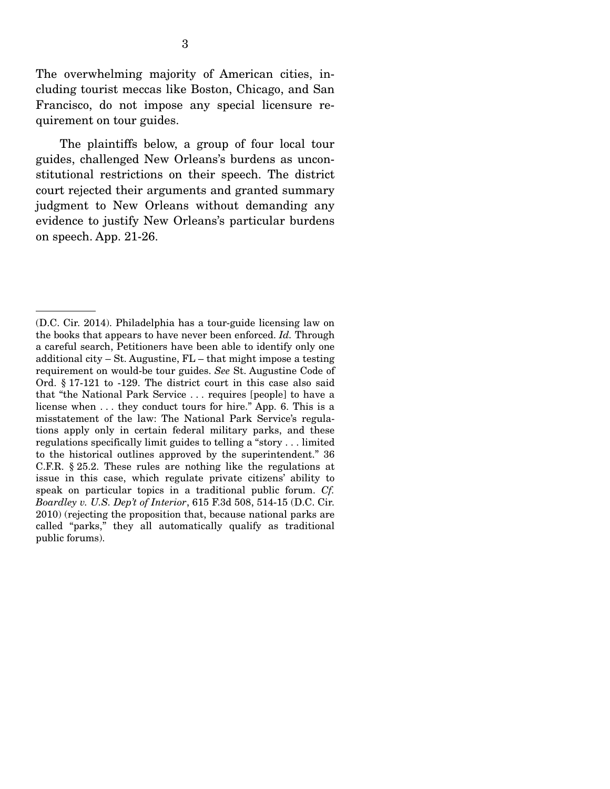The overwhelming majority of American cities, including tourist meccas like Boston, Chicago, and San Francisco, do not impose any special licensure requirement on tour guides.

 The plaintiffs below, a group of four local tour guides, challenged New Orleans's burdens as unconstitutional restrictions on their speech. The district court rejected their arguments and granted summary judgment to New Orleans without demanding any evidence to justify New Orleans's particular burdens on speech. App. 21-26.

<sup>(</sup>D.C. Cir. 2014). Philadelphia has a tour-guide licensing law on the books that appears to have never been enforced. *Id.* Through a careful search, Petitioners have been able to identify only one additional city – St. Augustine, FL – that might impose a testing requirement on would-be tour guides. *See* St. Augustine Code of Ord. § 17-121 to -129. The district court in this case also said that "the National Park Service . . . requires [people] to have a license when . . . they conduct tours for hire." App. 6. This is a misstatement of the law: The National Park Service's regulations apply only in certain federal military parks, and these regulations specifically limit guides to telling a "story . . . limited to the historical outlines approved by the superintendent." 36 C.F.R. § 25.2. These rules are nothing like the regulations at issue in this case, which regulate private citizens' ability to speak on particular topics in a traditional public forum. *Cf. Boardley v. U.S. Dep't of Interior*, 615 F.3d 508, 514-15 (D.C. Cir. 2010) (rejecting the proposition that, because national parks are called "parks," they all automatically qualify as traditional public forums).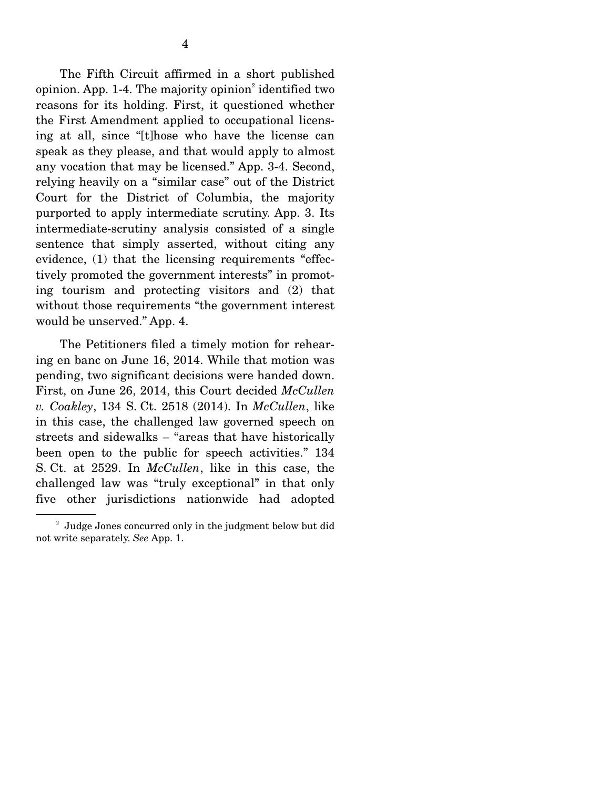The Fifth Circuit affirmed in a short published opinion. App. 1-4. The majority opinion<sup>2</sup> identified two reasons for its holding. First, it questioned whether the First Amendment applied to occupational licensing at all, since "[t]hose who have the license can speak as they please, and that would apply to almost any vocation that may be licensed." App. 3-4. Second, relying heavily on a "similar case" out of the District Court for the District of Columbia, the majority purported to apply intermediate scrutiny. App. 3. Its intermediate-scrutiny analysis consisted of a single sentence that simply asserted, without citing any evidence, (1) that the licensing requirements "effectively promoted the government interests" in promoting tourism and protecting visitors and (2) that without those requirements "the government interest would be unserved." App. 4.

 The Petitioners filed a timely motion for rehearing en banc on June 16, 2014. While that motion was pending, two significant decisions were handed down. First, on June 26, 2014, this Court decided *McCullen v. Coakley*, 134 S. Ct. 2518 (2014). In *McCullen*, like in this case, the challenged law governed speech on streets and sidewalks – "areas that have historically been open to the public for speech activities." 134 S. Ct. at 2529. In *McCullen*, like in this case, the challenged law was "truly exceptional" in that only five other jurisdictions nationwide had adopted

<sup>&</sup>lt;sup>2</sup> Judge Jones concurred only in the judgment below but did not write separately. *See* App. 1.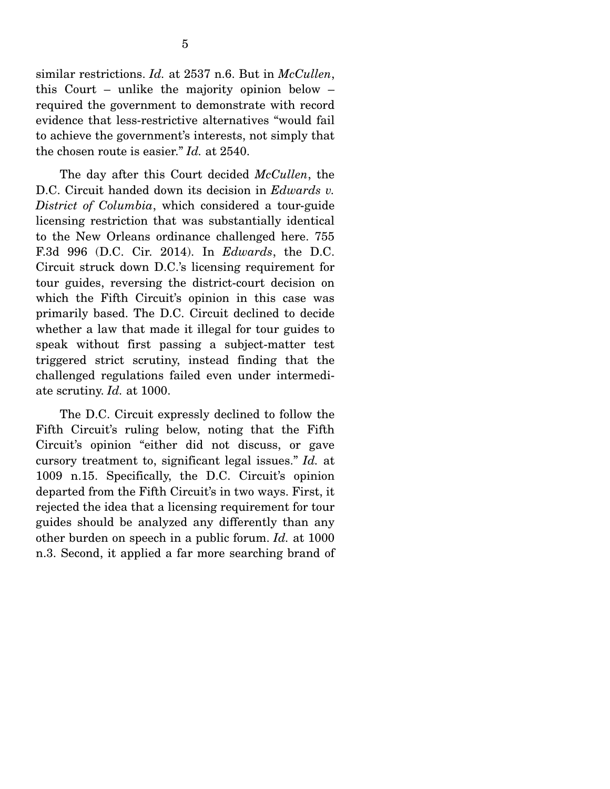similar restrictions. *Id.* at 2537 n.6. But in *McCullen*, this Court – unlike the majority opinion below – required the government to demonstrate with record evidence that less-restrictive alternatives "would fail to achieve the government's interests, not simply that the chosen route is easier." *Id.* at 2540.

 The day after this Court decided *McCullen*, the D.C. Circuit handed down its decision in *Edwards v. District of Columbia*, which considered a tour-guide licensing restriction that was substantially identical to the New Orleans ordinance challenged here. 755 F.3d 996 (D.C. Cir. 2014). In *Edwards*, the D.C. Circuit struck down D.C.'s licensing requirement for tour guides, reversing the district-court decision on which the Fifth Circuit's opinion in this case was primarily based. The D.C. Circuit declined to decide whether a law that made it illegal for tour guides to speak without first passing a subject-matter test triggered strict scrutiny, instead finding that the challenged regulations failed even under intermediate scrutiny. *Id.* at 1000.

 The D.C. Circuit expressly declined to follow the Fifth Circuit's ruling below, noting that the Fifth Circuit's opinion "either did not discuss, or gave cursory treatment to, significant legal issues." *Id.* at 1009 n.15. Specifically, the D.C. Circuit's opinion departed from the Fifth Circuit's in two ways. First, it rejected the idea that a licensing requirement for tour guides should be analyzed any differently than any other burden on speech in a public forum. *Id.* at 1000 n.3. Second, it applied a far more searching brand of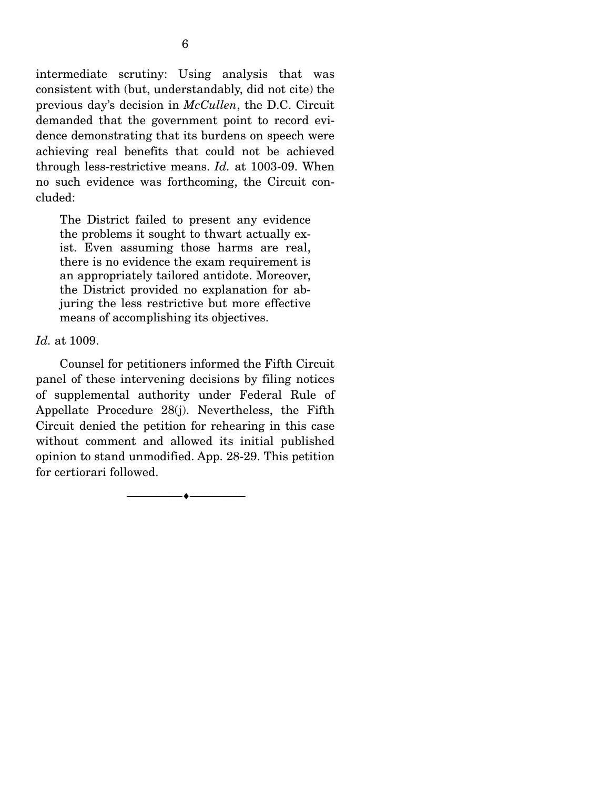intermediate scrutiny: Using analysis that was consistent with (but, understandably, did not cite) the previous day's decision in *McCullen*, the D.C. Circuit demanded that the government point to record evidence demonstrating that its burdens on speech were achieving real benefits that could not be achieved through less-restrictive means. *Id.* at 1003-09. When no such evidence was forthcoming, the Circuit concluded:

The District failed to present any evidence the problems it sought to thwart actually exist. Even assuming those harms are real, there is no evidence the exam requirement is an appropriately tailored antidote. Moreover, the District provided no explanation for abjuring the less restrictive but more effective means of accomplishing its objectives.

#### *Id.* at 1009.

 Counsel for petitioners informed the Fifth Circuit panel of these intervening decisions by filing notices of supplemental authority under Federal Rule of Appellate Procedure 28(j). Nevertheless, the Fifth Circuit denied the petition for rehearing in this case without comment and allowed its initial published opinion to stand unmodified. App. 28-29. This petition for certiorari followed.

--------------------------------- ---------------------------------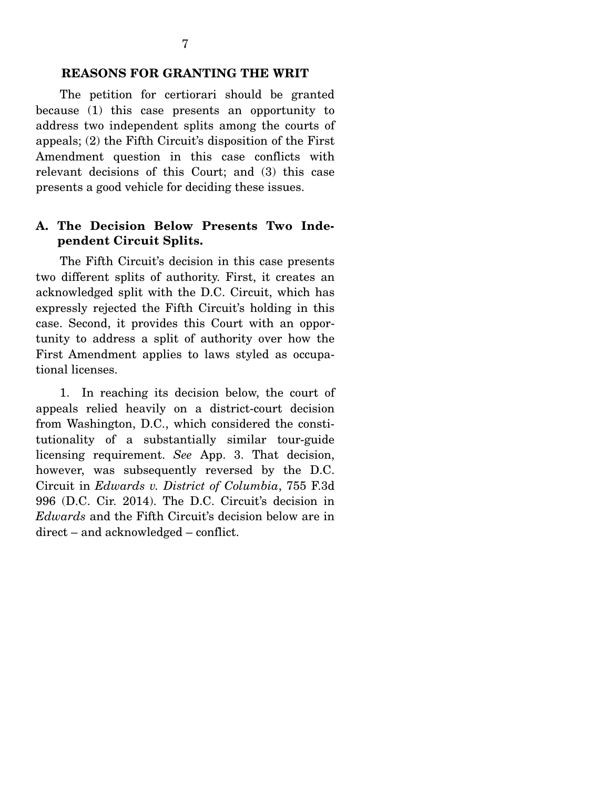## **REASONS FOR GRANTING THE WRIT**

 The petition for certiorari should be granted because (1) this case presents an opportunity to address two independent splits among the courts of appeals; (2) the Fifth Circuit's disposition of the First Amendment question in this case conflicts with relevant decisions of this Court; and (3) this case presents a good vehicle for deciding these issues.

# **A. The Decision Below Presents Two Independent Circuit Splits.**

 The Fifth Circuit's decision in this case presents two different splits of authority. First, it creates an acknowledged split with the D.C. Circuit, which has expressly rejected the Fifth Circuit's holding in this case. Second, it provides this Court with an opportunity to address a split of authority over how the First Amendment applies to laws styled as occupational licenses.

 1. In reaching its decision below, the court of appeals relied heavily on a district-court decision from Washington, D.C., which considered the constitutionality of a substantially similar tour-guide licensing requirement. *See* App. 3. That decision, however, was subsequently reversed by the D.C. Circuit in *Edwards v. District of Columbia*, 755 F.3d 996 (D.C. Cir. 2014). The D.C. Circuit's decision in *Edwards* and the Fifth Circuit's decision below are in direct – and acknowledged – conflict.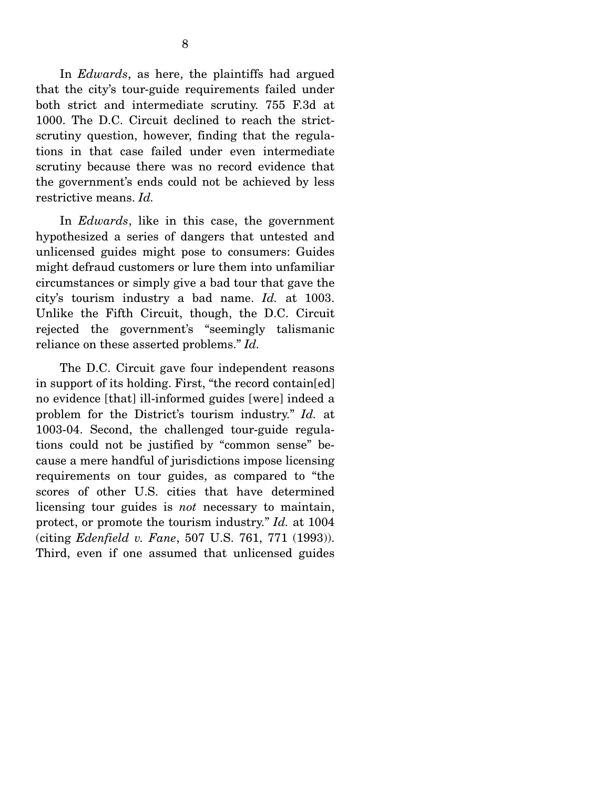In *Edwards*, as here, the plaintiffs had argued that the city's tour-guide requirements failed under both strict and intermediate scrutiny. 755 F.3d at 1000. The D.C. Circuit declined to reach the strictscrutiny question, however, finding that the regulations in that case failed under even intermediate scrutiny because there was no record evidence that the government's ends could not be achieved by less restrictive means. *Id.*

 In *Edwards*, like in this case, the government hypothesized a series of dangers that untested and unlicensed guides might pose to consumers: Guides might defraud customers or lure them into unfamiliar circumstances or simply give a bad tour that gave the city's tourism industry a bad name. *Id.* at 1003. Unlike the Fifth Circuit, though, the D.C. Circuit rejected the government's "seemingly talismanic reliance on these asserted problems." *Id.*

 The D.C. Circuit gave four independent reasons in support of its holding. First, "the record contain[ed] no evidence [that] ill-informed guides [were] indeed a problem for the District's tourism industry." *Id.* at 1003-04. Second, the challenged tour-guide regulations could not be justified by "common sense" because a mere handful of jurisdictions impose licensing requirements on tour guides, as compared to "the scores of other U.S. cities that have determined licensing tour guides is *not* necessary to maintain, protect, or promote the tourism industry." *Id.* at 1004 (citing *Edenfield v. Fane*, 507 U.S. 761, 771 (1993)). Third, even if one assumed that unlicensed guides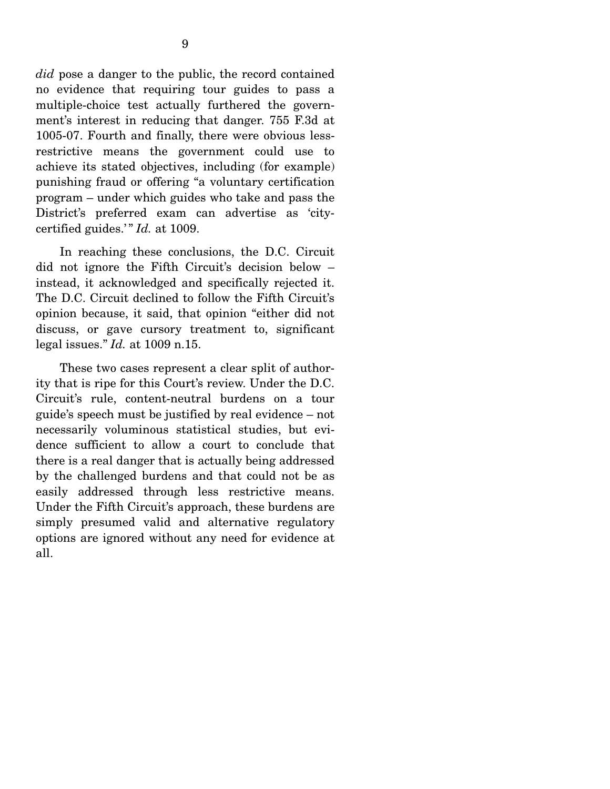*did* pose a danger to the public, the record contained no evidence that requiring tour guides to pass a multiple-choice test actually furthered the government's interest in reducing that danger. 755 F.3d at 1005-07. Fourth and finally, there were obvious lessrestrictive means the government could use to achieve its stated objectives, including (for example) punishing fraud or offering "a voluntary certification program – under which guides who take and pass the District's preferred exam can advertise as 'citycertified guides.'" *Id.* at 1009.

 In reaching these conclusions, the D.C. Circuit did not ignore the Fifth Circuit's decision below – instead, it acknowledged and specifically rejected it. The D.C. Circuit declined to follow the Fifth Circuit's opinion because, it said, that opinion "either did not discuss, or gave cursory treatment to, significant legal issues." *Id.* at 1009 n.15.

 These two cases represent a clear split of authority that is ripe for this Court's review. Under the D.C. Circuit's rule, content-neutral burdens on a tour guide's speech must be justified by real evidence – not necessarily voluminous statistical studies, but evidence sufficient to allow a court to conclude that there is a real danger that is actually being addressed by the challenged burdens and that could not be as easily addressed through less restrictive means. Under the Fifth Circuit's approach, these burdens are simply presumed valid and alternative regulatory options are ignored without any need for evidence at all.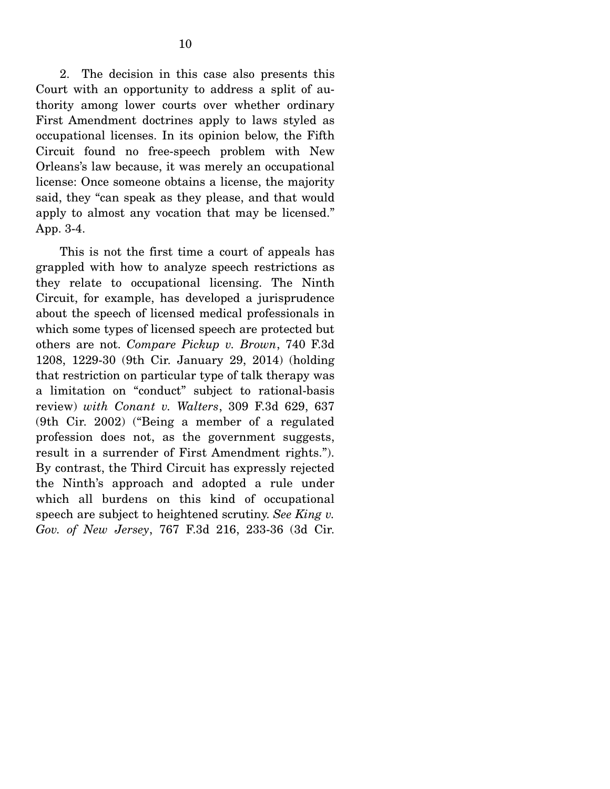2. The decision in this case also presents this Court with an opportunity to address a split of authority among lower courts over whether ordinary First Amendment doctrines apply to laws styled as occupational licenses. In its opinion below, the Fifth Circuit found no free-speech problem with New Orleans's law because, it was merely an occupational license: Once someone obtains a license, the majority said, they "can speak as they please, and that would apply to almost any vocation that may be licensed." App. 3-4.

 This is not the first time a court of appeals has grappled with how to analyze speech restrictions as they relate to occupational licensing. The Ninth Circuit, for example, has developed a jurisprudence about the speech of licensed medical professionals in which some types of licensed speech are protected but others are not. *Compare Pickup v. Brown*, 740 F.3d 1208, 1229-30 (9th Cir. January 29, 2014) (holding that restriction on particular type of talk therapy was a limitation on "conduct" subject to rational-basis review) *with Conant v. Walters*, 309 F.3d 629, 637 (9th Cir. 2002) ("Being a member of a regulated profession does not, as the government suggests, result in a surrender of First Amendment rights."). By contrast, the Third Circuit has expressly rejected the Ninth's approach and adopted a rule under which all burdens on this kind of occupational speech are subject to heightened scrutiny. *See King v. Gov. of New Jersey*, 767 F.3d 216, 233-36 (3d Cir.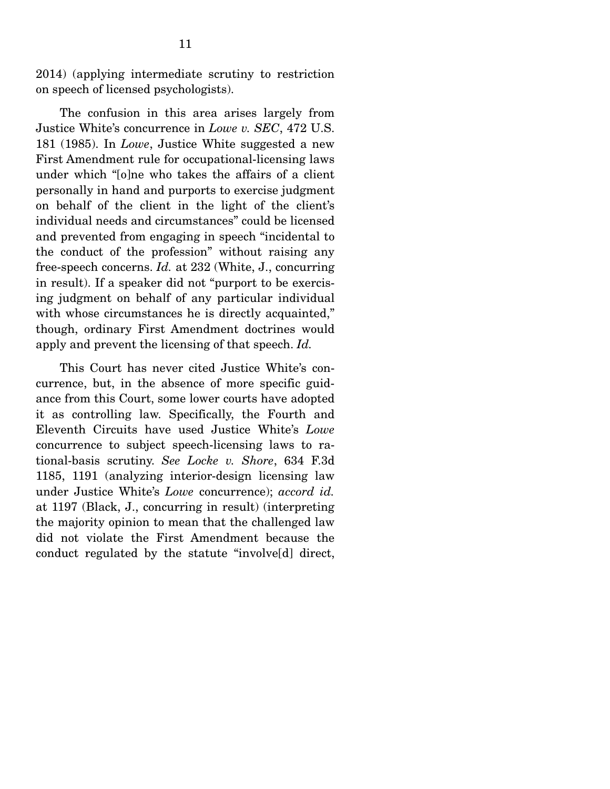2014) (applying intermediate scrutiny to restriction on speech of licensed psychologists).

 The confusion in this area arises largely from Justice White's concurrence in *Lowe v. SEC*, 472 U.S. 181 (1985). In *Lowe*, Justice White suggested a new First Amendment rule for occupational-licensing laws under which "[o]ne who takes the affairs of a client personally in hand and purports to exercise judgment on behalf of the client in the light of the client's individual needs and circumstances" could be licensed and prevented from engaging in speech "incidental to the conduct of the profession" without raising any free-speech concerns. *Id.* at 232 (White, J., concurring in result). If a speaker did not "purport to be exercising judgment on behalf of any particular individual with whose circumstances he is directly acquainted," though, ordinary First Amendment doctrines would apply and prevent the licensing of that speech. *Id.*

 This Court has never cited Justice White's concurrence, but, in the absence of more specific guidance from this Court, some lower courts have adopted it as controlling law. Specifically, the Fourth and Eleventh Circuits have used Justice White's *Lowe*  concurrence to subject speech-licensing laws to rational-basis scrutiny. *See Locke v. Shore*, 634 F.3d 1185, 1191 (analyzing interior-design licensing law under Justice White's *Lowe* concurrence); *accord id.*  at 1197 (Black, J., concurring in result) (interpreting the majority opinion to mean that the challenged law did not violate the First Amendment because the conduct regulated by the statute "involve[d] direct,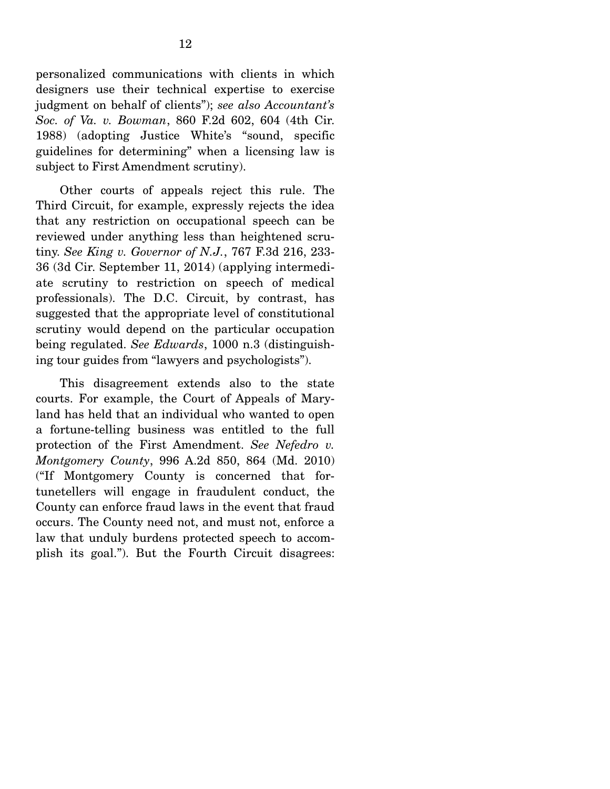personalized communications with clients in which designers use their technical expertise to exercise judgment on behalf of clients"); *see also Accountant's Soc. of Va. v. Bowman*, 860 F.2d 602, 604 (4th Cir. 1988) (adopting Justice White's "sound, specific guidelines for determining" when a licensing law is subject to First Amendment scrutiny).

 Other courts of appeals reject this rule. The Third Circuit, for example, expressly rejects the idea that any restriction on occupational speech can be reviewed under anything less than heightened scrutiny. *See King v. Governor of N.J.*, 767 F.3d 216, 233- 36 (3d Cir. September 11, 2014) (applying intermediate scrutiny to restriction on speech of medical professionals). The D.C. Circuit, by contrast, has suggested that the appropriate level of constitutional scrutiny would depend on the particular occupation being regulated. *See Edwards*, 1000 n.3 (distinguishing tour guides from "lawyers and psychologists").

 This disagreement extends also to the state courts. For example, the Court of Appeals of Maryland has held that an individual who wanted to open a fortune-telling business was entitled to the full protection of the First Amendment. *See Nefedro v. Montgomery County*, 996 A.2d 850, 864 (Md. 2010) ("If Montgomery County is concerned that fortunetellers will engage in fraudulent conduct, the County can enforce fraud laws in the event that fraud occurs. The County need not, and must not, enforce a law that unduly burdens protected speech to accomplish its goal."). But the Fourth Circuit disagrees: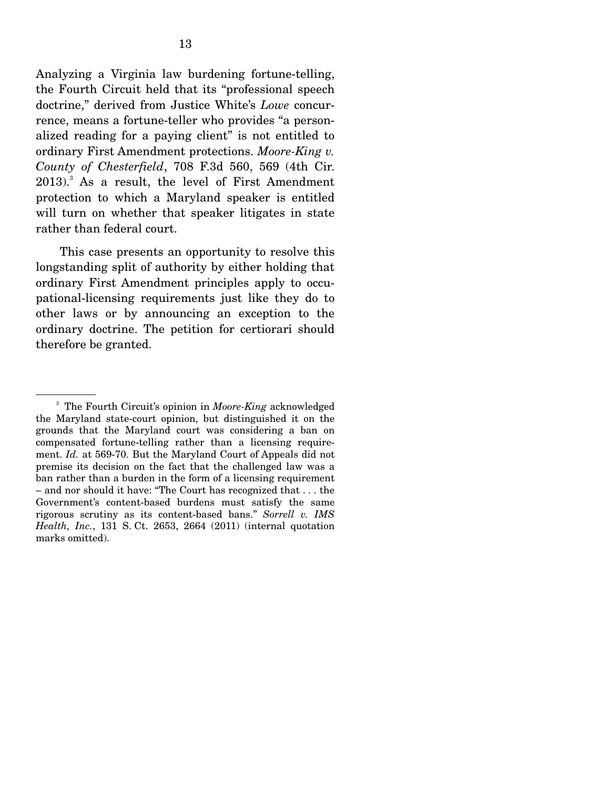Analyzing a Virginia law burdening fortune-telling, the Fourth Circuit held that its "professional speech doctrine," derived from Justice White's *Lowe* concurrence, means a fortune-teller who provides "a personalized reading for a paying client" is not entitled to ordinary First Amendment protections. *Moore-King v. County of Chesterfield*, 708 F.3d 560, 569 (4th Cir.  $2013$ .<sup>3</sup> As a result, the level of First Amendment protection to which a Maryland speaker is entitled will turn on whether that speaker litigates in state rather than federal court.

 This case presents an opportunity to resolve this longstanding split of authority by either holding that ordinary First Amendment principles apply to occupational-licensing requirements just like they do to other laws or by announcing an exception to the ordinary doctrine. The petition for certiorari should therefore be granted.

<sup>3</sup> The Fourth Circuit's opinion in *Moore-King* acknowledged the Maryland state-court opinion, but distinguished it on the grounds that the Maryland court was considering a ban on compensated fortune-telling rather than a licensing requirement. *Id.* at 569-70. But the Maryland Court of Appeals did not premise its decision on the fact that the challenged law was a ban rather than a burden in the form of a licensing requirement – and nor should it have: "The Court has recognized that . . . the Government's content-based burdens must satisfy the same rigorous scrutiny as its content-based bans." *Sorrell v. IMS Health, Inc.*, 131 S. Ct. 2653, 2664 (2011) (internal quotation marks omitted).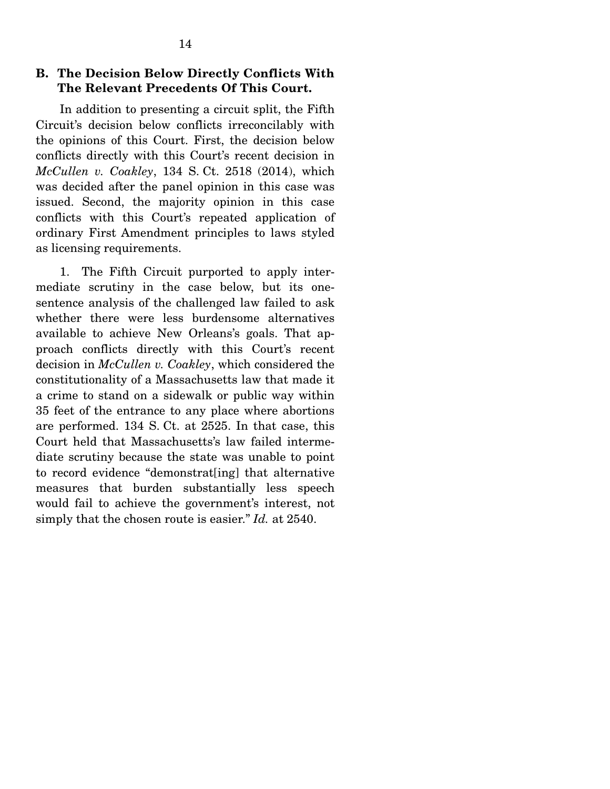## **B. The Decision Below Directly Conflicts With The Relevant Precedents Of This Court.**

 In addition to presenting a circuit split, the Fifth Circuit's decision below conflicts irreconcilably with the opinions of this Court. First, the decision below conflicts directly with this Court's recent decision in *McCullen v. Coakley*, 134 S. Ct. 2518 (2014), which was decided after the panel opinion in this case was issued. Second, the majority opinion in this case conflicts with this Court's repeated application of ordinary First Amendment principles to laws styled as licensing requirements.

 1. The Fifth Circuit purported to apply intermediate scrutiny in the case below, but its onesentence analysis of the challenged law failed to ask whether there were less burdensome alternatives available to achieve New Orleans's goals. That approach conflicts directly with this Court's recent decision in *McCullen v. Coakley*, which considered the constitutionality of a Massachusetts law that made it a crime to stand on a sidewalk or public way within 35 feet of the entrance to any place where abortions are performed. 134 S. Ct. at 2525. In that case, this Court held that Massachusetts's law failed intermediate scrutiny because the state was unable to point to record evidence "demonstrat[ing] that alternative measures that burden substantially less speech would fail to achieve the government's interest, not simply that the chosen route is easier." *Id.* at 2540.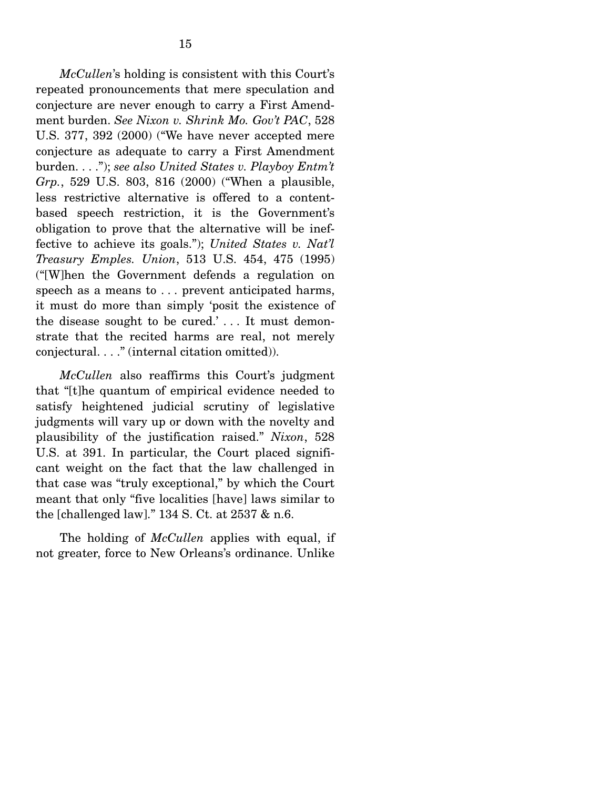*McCullen*'s holding is consistent with this Court's repeated pronouncements that mere speculation and conjecture are never enough to carry a First Amendment burden. *See Nixon v. Shrink Mo. Gov't PAC*, 528 U.S. 377, 392 (2000) ("We have never accepted mere conjecture as adequate to carry a First Amendment burden. . . ."); *see also United States v. Playboy Entm't Grp.*, 529 U.S. 803, 816 (2000) ("When a plausible, less restrictive alternative is offered to a contentbased speech restriction, it is the Government's obligation to prove that the alternative will be ineffective to achieve its goals."); *United States v. Nat'l Treasury Emples. Union*, 513 U.S. 454, 475 (1995) ("[W]hen the Government defends a regulation on speech as a means to . . . prevent anticipated harms, it must do more than simply 'posit the existence of the disease sought to be cured.'... It must demonstrate that the recited harms are real, not merely conjectural. . . ." (internal citation omitted)).

*McCullen* also reaffirms this Court's judgment that "[t]he quantum of empirical evidence needed to satisfy heightened judicial scrutiny of legislative judgments will vary up or down with the novelty and plausibility of the justification raised." *Nixon*, 528 U.S. at 391. In particular, the Court placed significant weight on the fact that the law challenged in that case was "truly exceptional," by which the Court meant that only "five localities [have] laws similar to the [challenged law]." 134 S. Ct. at 2537 & n.6.

 The holding of *McCullen* applies with equal, if not greater, force to New Orleans's ordinance. Unlike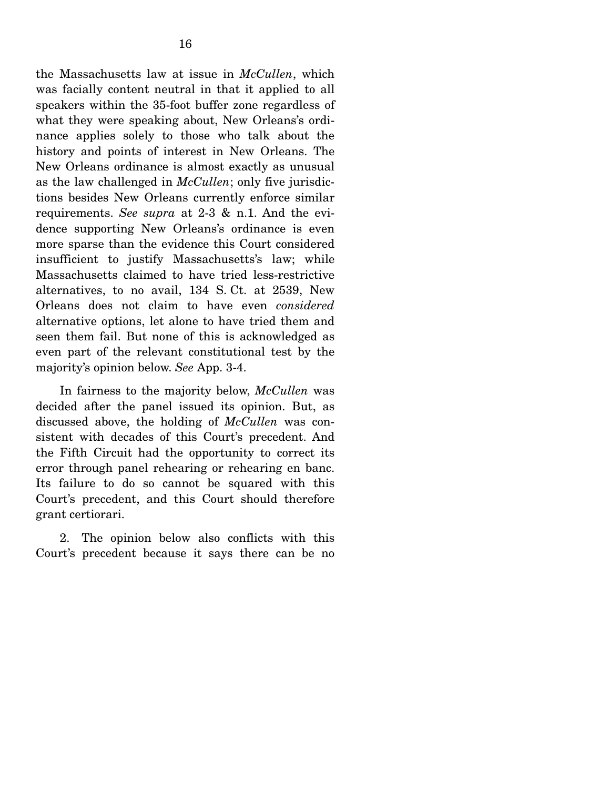the Massachusetts law at issue in *McCullen*, which was facially content neutral in that it applied to all speakers within the 35-foot buffer zone regardless of what they were speaking about, New Orleans's ordinance applies solely to those who talk about the history and points of interest in New Orleans. The New Orleans ordinance is almost exactly as unusual as the law challenged in *McCullen*; only five jurisdictions besides New Orleans currently enforce similar requirements. *See supra* at 2-3 & n.1. And the evidence supporting New Orleans's ordinance is even more sparse than the evidence this Court considered insufficient to justify Massachusetts's law; while Massachusetts claimed to have tried less-restrictive alternatives, to no avail, 134 S. Ct. at 2539, New Orleans does not claim to have even *considered* alternative options, let alone to have tried them and seen them fail. But none of this is acknowledged as even part of the relevant constitutional test by the majority's opinion below. *See* App. 3-4.

 In fairness to the majority below, *McCullen* was decided after the panel issued its opinion. But, as discussed above, the holding of *McCullen* was consistent with decades of this Court's precedent. And the Fifth Circuit had the opportunity to correct its error through panel rehearing or rehearing en banc. Its failure to do so cannot be squared with this Court's precedent, and this Court should therefore grant certiorari.

 2. The opinion below also conflicts with this Court's precedent because it says there can be no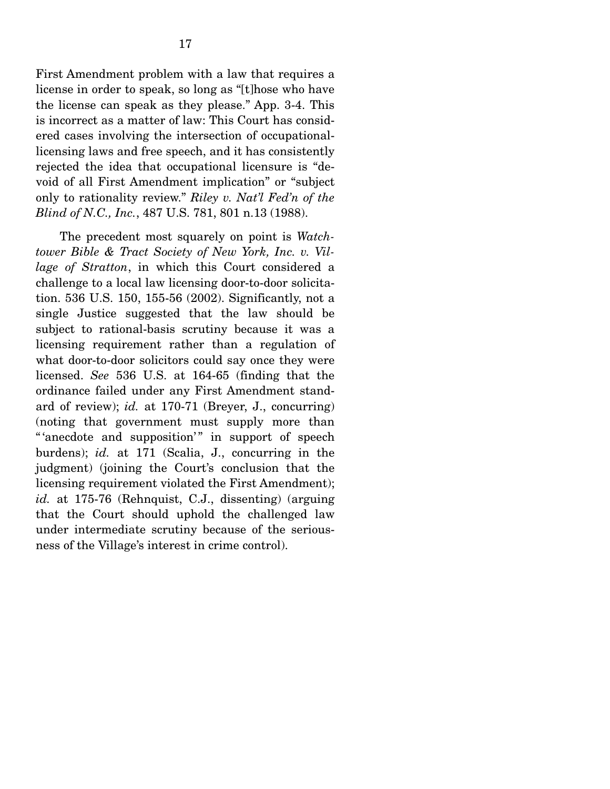First Amendment problem with a law that requires a license in order to speak, so long as "[t]hose who have the license can speak as they please." App. 3-4. This is incorrect as a matter of law: This Court has considered cases involving the intersection of occupationallicensing laws and free speech, and it has consistently rejected the idea that occupational licensure is "devoid of all First Amendment implication" or "subject only to rationality review." *Riley v. Nat'l Fed'n of the Blind of N.C., Inc.*, 487 U.S. 781, 801 n.13 (1988).

 The precedent most squarely on point is *Watchtower Bible & Tract Society of New York, Inc. v. Village of Stratton*, in which this Court considered a challenge to a local law licensing door-to-door solicitation. 536 U.S. 150, 155-56 (2002). Significantly, not a single Justice suggested that the law should be subject to rational-basis scrutiny because it was a licensing requirement rather than a regulation of what door-to-door solicitors could say once they were licensed. *See* 536 U.S. at 164-65 (finding that the ordinance failed under any First Amendment standard of review); *id.* at 170-71 (Breyer, J., concurring) (noting that government must supply more than "'anecdote and supposition'" in support of speech burdens); *id.* at 171 (Scalia, J., concurring in the judgment) (joining the Court's conclusion that the licensing requirement violated the First Amendment); *id.* at 175-76 (Rehnquist, C.J., dissenting) (arguing that the Court should uphold the challenged law under intermediate scrutiny because of the seriousness of the Village's interest in crime control).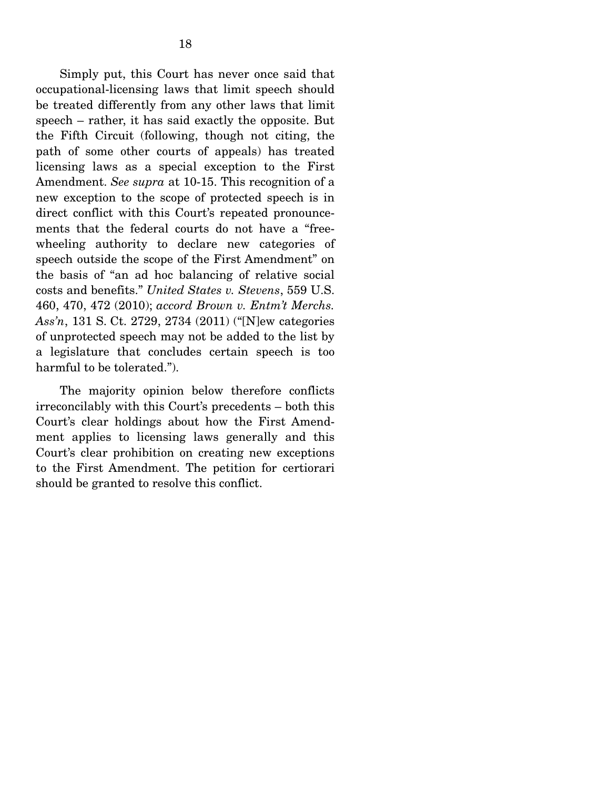Simply put, this Court has never once said that occupational-licensing laws that limit speech should be treated differently from any other laws that limit speech – rather, it has said exactly the opposite. But the Fifth Circuit (following, though not citing, the path of some other courts of appeals) has treated licensing laws as a special exception to the First Amendment. *See supra* at 10-15. This recognition of a new exception to the scope of protected speech is in direct conflict with this Court's repeated pronouncements that the federal courts do not have a "freewheeling authority to declare new categories of speech outside the scope of the First Amendment" on the basis of "an ad hoc balancing of relative social costs and benefits." *United States v. Stevens*, 559 U.S. 460, 470, 472 (2010); *accord Brown v. Entm't Merchs. Ass'n*, 131 S. Ct. 2729, 2734 (2011) ("[N]ew categories of unprotected speech may not be added to the list by a legislature that concludes certain speech is too harmful to be tolerated.").

 The majority opinion below therefore conflicts irreconcilably with this Court's precedents – both this Court's clear holdings about how the First Amendment applies to licensing laws generally and this Court's clear prohibition on creating new exceptions to the First Amendment. The petition for certiorari should be granted to resolve this conflict.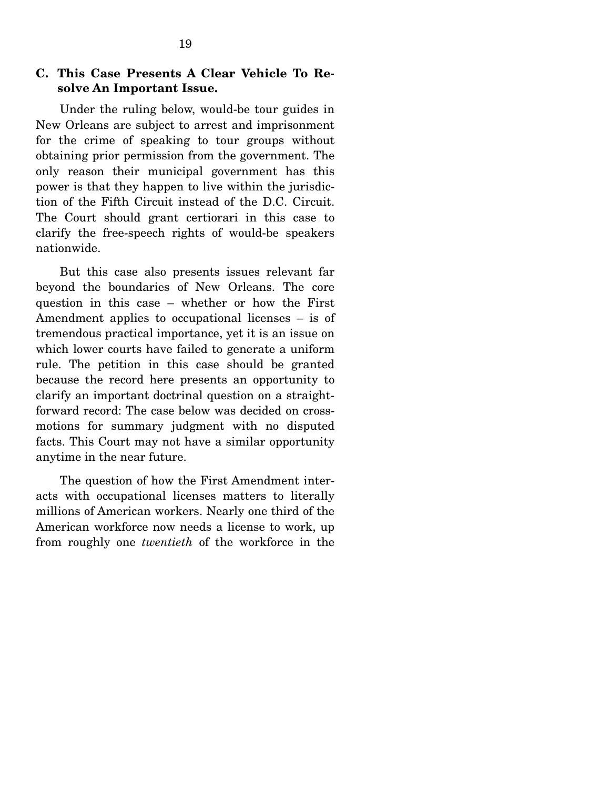# **C. This Case Presents A Clear Vehicle To Resolve An Important Issue.**

 Under the ruling below, would-be tour guides in New Orleans are subject to arrest and imprisonment for the crime of speaking to tour groups without obtaining prior permission from the government. The only reason their municipal government has this power is that they happen to live within the jurisdiction of the Fifth Circuit instead of the D.C. Circuit. The Court should grant certiorari in this case to clarify the free-speech rights of would-be speakers nationwide.

 But this case also presents issues relevant far beyond the boundaries of New Orleans. The core question in this case – whether or how the First Amendment applies to occupational licenses – is of tremendous practical importance, yet it is an issue on which lower courts have failed to generate a uniform rule. The petition in this case should be granted because the record here presents an opportunity to clarify an important doctrinal question on a straightforward record: The case below was decided on crossmotions for summary judgment with no disputed facts. This Court may not have a similar opportunity anytime in the near future.

 The question of how the First Amendment interacts with occupational licenses matters to literally millions of American workers. Nearly one third of the American workforce now needs a license to work, up from roughly one *twentieth* of the workforce in the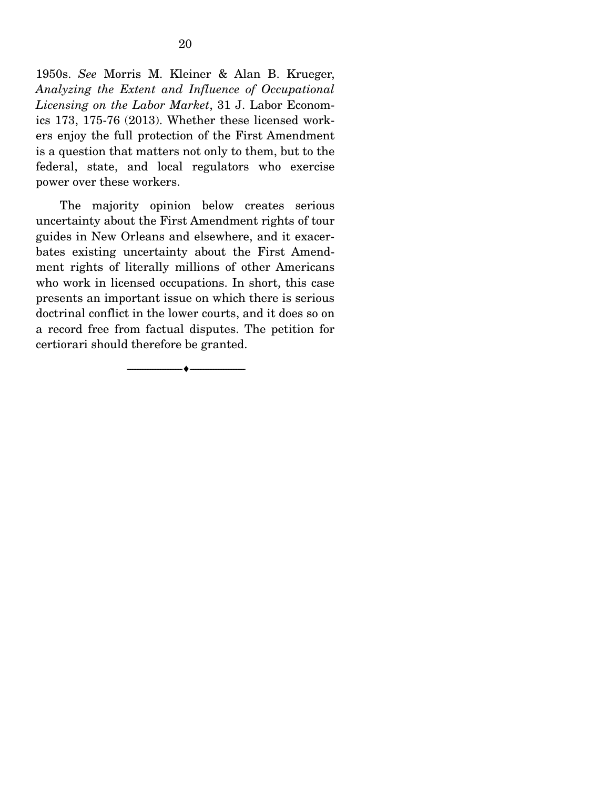1950s. *See* Morris M. Kleiner & Alan B. Krueger, *Analyzing the Extent and Influence of Occupational Licensing on the Labor Market*, 31 J. Labor Economics 173, 175-76 (2013). Whether these licensed workers enjoy the full protection of the First Amendment is a question that matters not only to them, but to the federal, state, and local regulators who exercise power over these workers.

 The majority opinion below creates serious uncertainty about the First Amendment rights of tour guides in New Orleans and elsewhere, and it exacerbates existing uncertainty about the First Amendment rights of literally millions of other Americans who work in licensed occupations. In short, this case presents an important issue on which there is serious doctrinal conflict in the lower courts, and it does so on a record free from factual disputes. The petition for certiorari should therefore be granted.

--------------------------------- ---------------------------------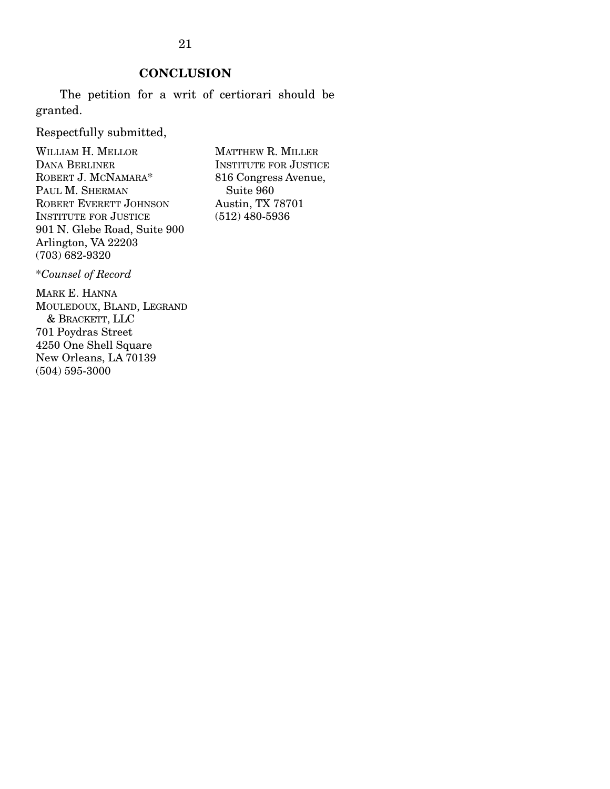# **CONCLUSION**

 The petition for a writ of certiorari should be granted.

Respectfully submitted,

WILLIAM H. MELLOR DANA BERLINER ROBERT J. MCNAMARA\* PAUL M. SHERMAN ROBERT EVERETT JOHNSON INSTITUTE FOR JUSTICE 901 N. Glebe Road, Suite 900 Arlington, VA 22203 (703) 682-9320

MATTHEW R. MILLER INSTITUTE FOR JUSTICE 816 Congress Avenue, Suite 960 Austin, TX 78701 (512) 480-5936

\**Counsel of Record*

MARK E. HANNA MOULEDOUX, BLAND, LEGRAND & BRACKETT, LLC 701 Poydras Street 4250 One Shell Square New Orleans, LA 70139 (504) 595-3000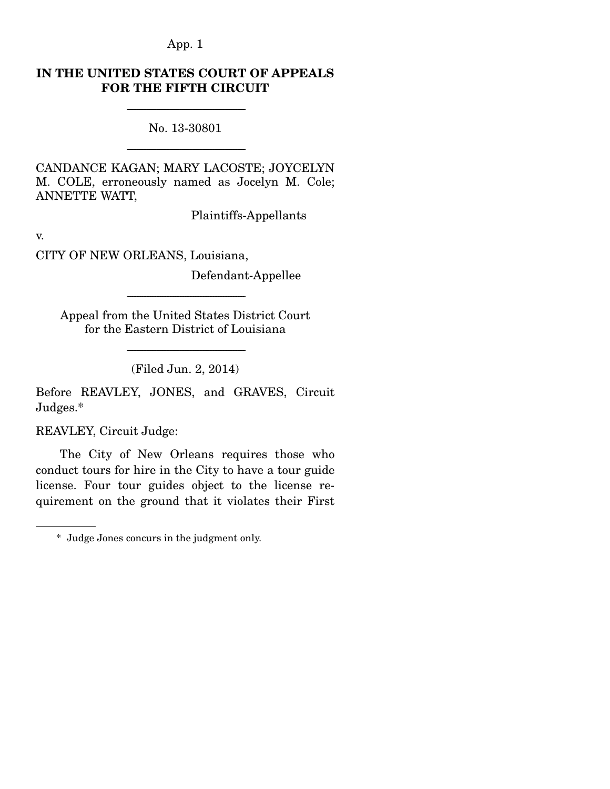# **IN THE UNITED STATES COURT OF APPEALS FOR THE FIFTH CIRCUIT**

----------------------------------------------------------------------- No. 13-30801

-----------------------------------------------------------------------

CANDANCE KAGAN; MARY LACOSTE; JOYCELYN M. COLE, erroneously named as Jocelyn M. Cole; ANNETTE WATT,

Plaintiffs-Appellants

v.

CITY OF NEW ORLEANS, Louisiana,

Defendant-Appellee

Appeal from the United States District Court for the Eastern District of Louisiana

-----------------------------------------------------------------------

----------------------------------------------------------------------- (Filed Jun. 2, 2014)

Before REAVLEY, JONES, and GRAVES, Circuit Judges.\*

REAVLEY, Circuit Judge:

 The City of New Orleans requires those who conduct tours for hire in the City to have a tour guide license. Four tour guides object to the license requirement on the ground that it violates their First

 <sup>\*</sup> Judge Jones concurs in the judgment only.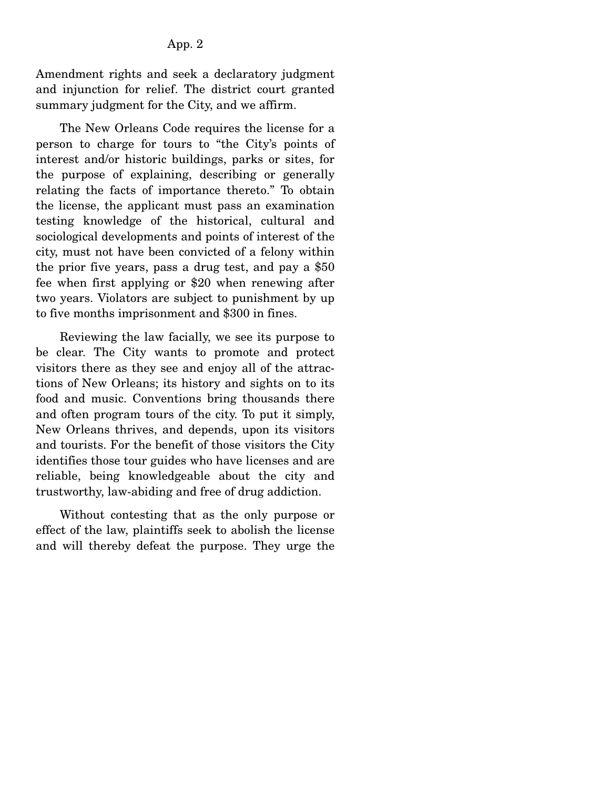Amendment rights and seek a declaratory judgment and injunction for relief. The district court granted summary judgment for the City, and we affirm.

 The New Orleans Code requires the license for a person to charge for tours to "the City's points of interest and/or historic buildings, parks or sites, for the purpose of explaining, describing or generally relating the facts of importance thereto." To obtain the license, the applicant must pass an examination testing knowledge of the historical, cultural and sociological developments and points of interest of the city, must not have been convicted of a felony within the prior five years, pass a drug test, and pay a \$50 fee when first applying or \$20 when renewing after two years. Violators are subject to punishment by up to five months imprisonment and \$300 in fines.

 Reviewing the law facially, we see its purpose to be clear. The City wants to promote and protect visitors there as they see and enjoy all of the attractions of New Orleans; its history and sights on to its food and music. Conventions bring thousands there and often program tours of the city. To put it simply, New Orleans thrives, and depends, upon its visitors and tourists. For the benefit of those visitors the City identifies those tour guides who have licenses and are reliable, being knowledgeable about the city and trustworthy, law-abiding and free of drug addiction.

 Without contesting that as the only purpose or effect of the law, plaintiffs seek to abolish the license and will thereby defeat the purpose. They urge the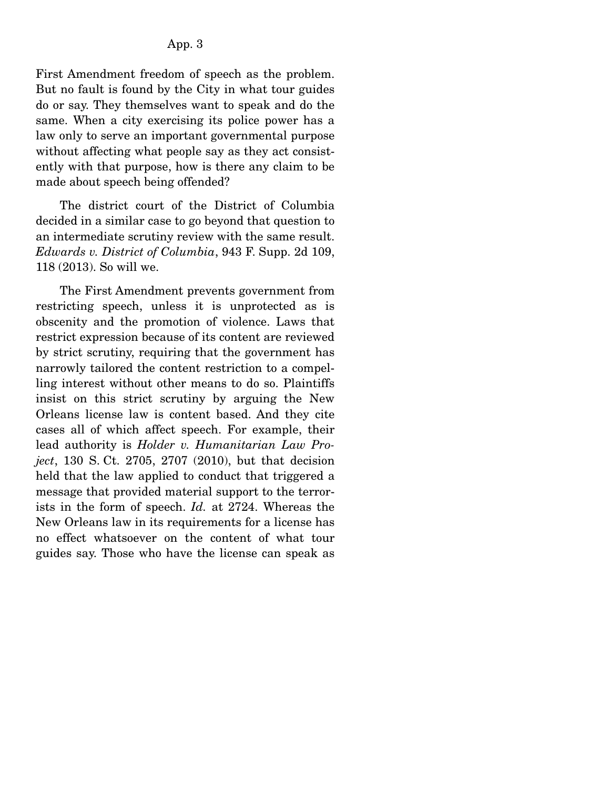First Amendment freedom of speech as the problem. But no fault is found by the City in what tour guides do or say. They themselves want to speak and do the same. When a city exercising its police power has a law only to serve an important governmental purpose without affecting what people say as they act consistently with that purpose, how is there any claim to be made about speech being offended?

 The district court of the District of Columbia decided in a similar case to go beyond that question to an intermediate scrutiny review with the same result. *Edwards v. District of Columbia*, 943 F. Supp. 2d 109, 118 (2013). So will we.

 The First Amendment prevents government from restricting speech, unless it is unprotected as is obscenity and the promotion of violence. Laws that restrict expression because of its content are reviewed by strict scrutiny, requiring that the government has narrowly tailored the content restriction to a compelling interest without other means to do so. Plaintiffs insist on this strict scrutiny by arguing the New Orleans license law is content based. And they cite cases all of which affect speech. For example, their lead authority is *Holder v. Humanitarian Law Project*, 130 S. Ct. 2705, 2707 (2010), but that decision held that the law applied to conduct that triggered a message that provided material support to the terrorists in the form of speech. *Id.* at 2724. Whereas the New Orleans law in its requirements for a license has no effect whatsoever on the content of what tour guides say. Those who have the license can speak as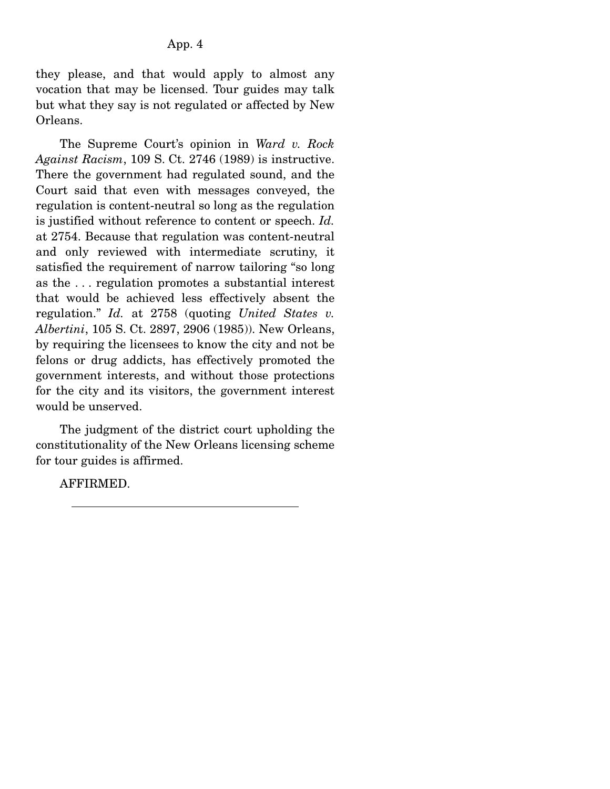they please, and that would apply to almost any vocation that may be licensed. Tour guides may talk but what they say is not regulated or affected by New Orleans.

 The Supreme Court's opinion in *Ward v. Rock Against Racism*, 109 S. Ct. 2746 (1989) is instructive. There the government had regulated sound, and the Court said that even with messages conveyed, the regulation is content-neutral so long as the regulation is justified without reference to content or speech. *Id.* at 2754. Because that regulation was content-neutral and only reviewed with intermediate scrutiny, it satisfied the requirement of narrow tailoring "so long as the . . . regulation promotes a substantial interest that would be achieved less effectively absent the regulation." *Id.* at 2758 (quoting *United States v. Albertini*, 105 S. Ct. 2897, 2906 (1985)). New Orleans, by requiring the licensees to know the city and not be felons or drug addicts, has effectively promoted the government interests, and without those protections for the city and its visitors, the government interest would be unserved.

 The judgment of the district court upholding the constitutionality of the New Orleans licensing scheme for tour guides is affirmed.

AFFIRMED.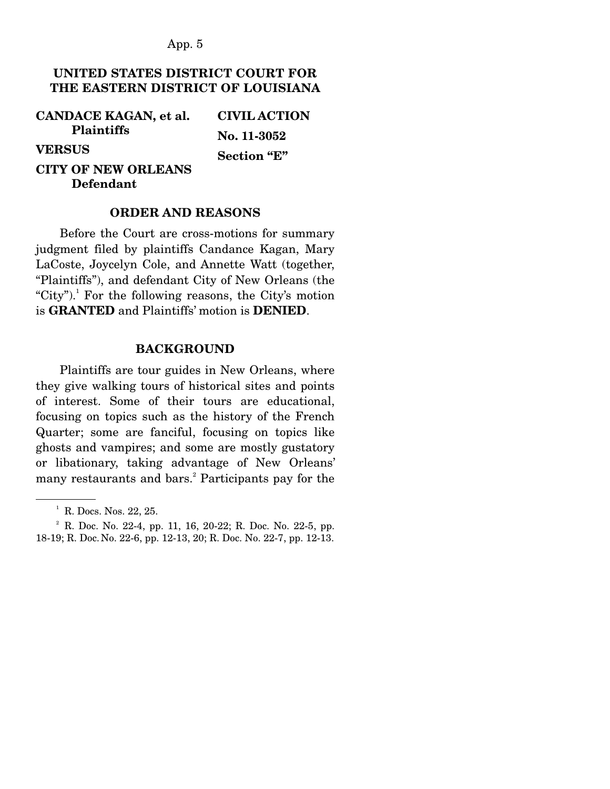# **UNITED STATES DISTRICT COURT FOR THE EASTERN DISTRICT OF LOUISIANA**

**CANDACE KAGAN, et al. Plaintiffs VERSUS CITY OF NEW ORLEANS Defendant CIVIL ACTION No. 11-3052 Section "E"**

#### **ORDER AND REASONS**

Before the Court are cross-motions for summary judgment filed by plaintiffs Candance Kagan, Mary LaCoste, Joycelyn Cole, and Annette Watt (together, "Plaintiffs"), and defendant City of New Orleans (the "City").<sup>1</sup> For the following reasons, the City's motion is **GRANTED** and Plaintiffs' motion is **DENIED**.

#### **BACKGROUND**

Plaintiffs are tour guides in New Orleans, where they give walking tours of historical sites and points of interest. Some of their tours are educational, focusing on topics such as the history of the French Quarter; some are fanciful, focusing on topics like ghosts and vampires; and some are mostly gustatory or libationary, taking advantage of New Orleans' many restaurants and bars.<sup>2</sup> Participants pay for the

 $<sup>1</sup>$  R. Docs. Nos. 22, 25.</sup>

 $2^2$  R. Doc. No. 22-4, pp. 11, 16, 20-22; R. Doc. No. 22-5, pp. 18-19; R. Doc. No. 22-6, pp. 12-13, 20; R. Doc. No. 22-7, pp. 12-13.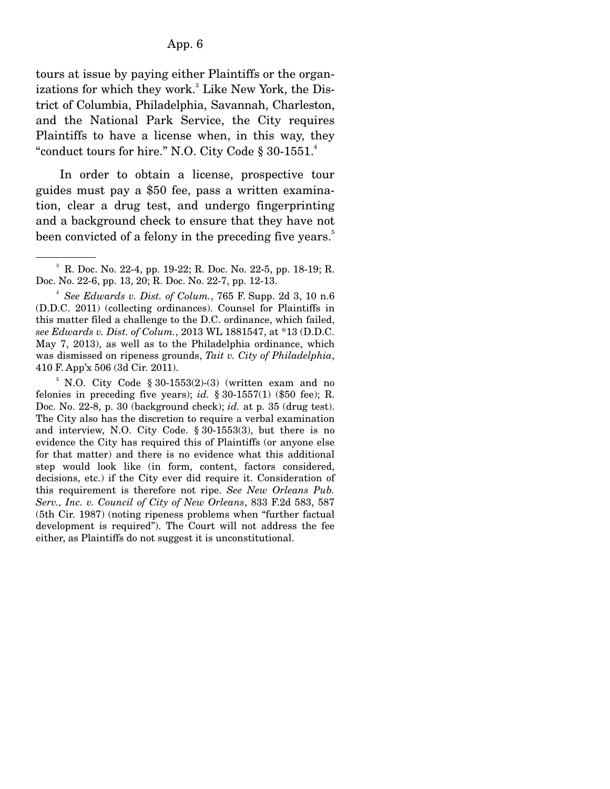tours at issue by paying either Plaintiffs or the organizations for which they work.<sup>3</sup> Like New York, the District of Columbia, Philadelphia, Savannah, Charleston, and the National Park Service, the City requires Plaintiffs to have a license when, in this way, they "conduct tours for hire." N.O. City Code  $\S 30-1551$ .

 In order to obtain a license, prospective tour guides must pay a \$50 fee, pass a written examination, clear a drug test, and undergo fingerprinting and a background check to ensure that they have not been convicted of a felony in the preceding five years.<sup>5</sup>

<sup>3</sup> R. Doc. No. 22-4, pp. 19-22; R. Doc. No. 22-5, pp. 18-19; R. Doc. No. 22-6, pp. 13, 20; R. Doc. No. 22-7, pp. 12-13.

<sup>4</sup> *See Edwards v. Dist. of Colum.*, 765 F. Supp. 2d 3, 10 n.6 (D.D.C. 2011) (collecting ordinances). Counsel for Plaintiffs in this matter filed a challenge to the D.C. ordinance, which failed, *see Edwards v. Dist. of Colum.*, 2013 WL 1881547, at \*13 (D.D.C. May 7, 2013), as well as to the Philadelphia ordinance, which was dismissed on ripeness grounds, *Tait v. City of Philadelphia*, 410 F. App'x 506 (3d Cir. 2011).

 $5$  N.O. City Code § 30-1553(2)-(3) (written exam and no felonies in preceding five years); *id.*  $\S 30-1557(1)$  (\$50 fee); R. Doc. No. 22-8, p. 30 (background check); *id.* at p. 35 (drug test). The City also has the discretion to require a verbal examination and interview, N.O. City Code. § 30-1553(3), but there is no evidence the City has required this of Plaintiffs (or anyone else for that matter) and there is no evidence what this additional step would look like (in form, content, factors considered, decisions, etc.) if the City ever did require it. Consideration of this requirement is therefore not ripe. *See New Orleans Pub. Serv., Inc. v. Council of City of New Orleans*, 833 F.2d 583, 587 (5th Cir. 1987) (noting ripeness problems when "further factual development is required"). The Court will not address the fee either, as Plaintiffs do not suggest it is unconstitutional.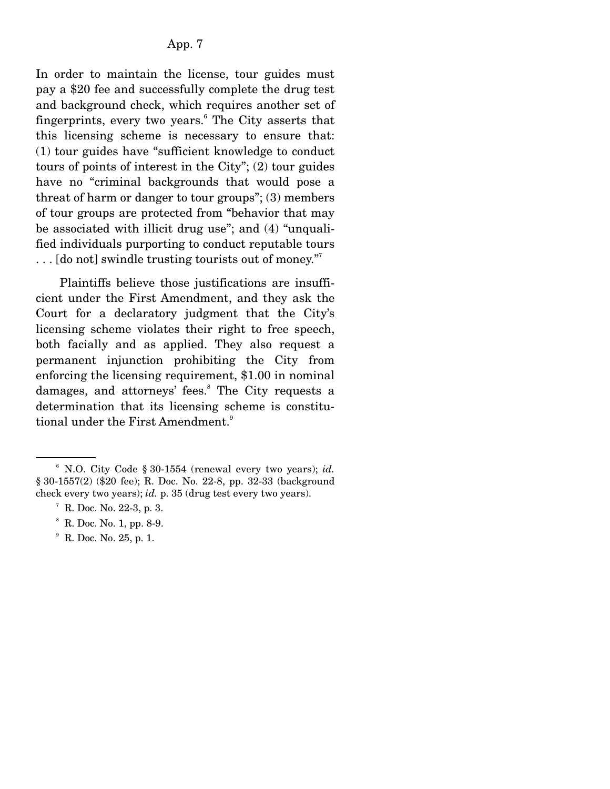In order to maintain the license, tour guides must pay a \$20 fee and successfully complete the drug test and background check, which requires another set of fingerprints, every two years.<sup>6</sup> The City asserts that this licensing scheme is necessary to ensure that: (1) tour guides have "sufficient knowledge to conduct tours of points of interest in the City"; (2) tour guides have no "criminal backgrounds that would pose a threat of harm or danger to tour groups"; (3) members of tour groups are protected from "behavior that may be associated with illicit drug use"; and (4) "unqualified individuals purporting to conduct reputable tours  $\dots$  [do not] swindle trusting tourists out of money."

 Plaintiffs believe those justifications are insufficient under the First Amendment, and they ask the Court for a declaratory judgment that the City's licensing scheme violates their right to free speech, both facially and as applied. They also request a permanent injunction prohibiting the City from enforcing the licensing requirement, \$1.00 in nominal damages, and attorneys' fees.<sup>8</sup> The City requests a determination that its licensing scheme is constitutional under the First Amendment.<sup>9</sup>

9 R. Doc. No. 25, p. 1.

<sup>6</sup> N.O. City Code § 30-1554 (renewal every two years); *id.* § 30-1557(2) (\$20 fee); R. Doc. No. 22-8, pp. 32-33 (background check every two years); *id.* p. 35 (drug test every two years).

 $7 R.$  Doc. No. 22-3, p. 3.

<sup>8</sup> R. Doc. No. 1, pp. 8-9.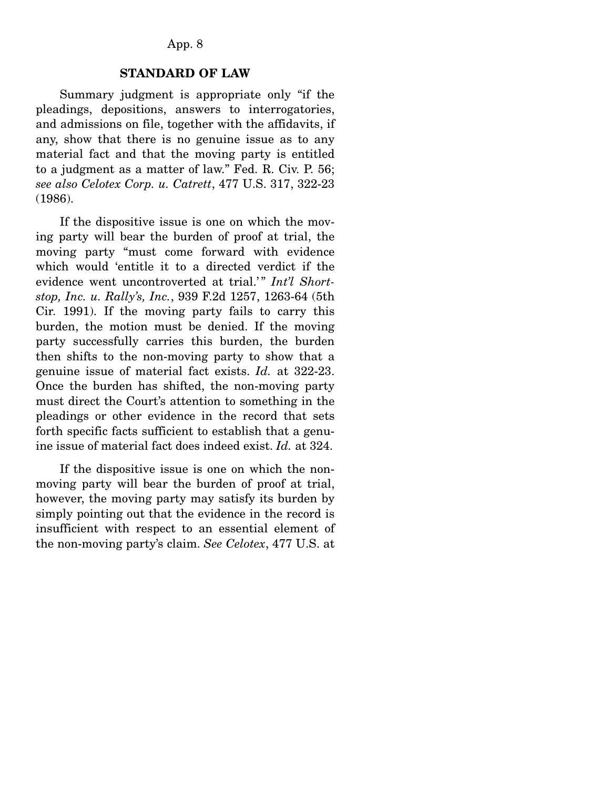#### **STANDARD OF LAW**

Summary judgment is appropriate only "if the pleadings, depositions, answers to interrogatories, and admissions on file, together with the affidavits, if any, show that there is no genuine issue as to any material fact and that the moving party is entitled to a judgment as a matter of law." Fed. R. Civ. P. 56; *see also Celotex Corp. u. Catrett*, 477 U.S. 317, 322-23 (1986).

 If the dispositive issue is one on which the moving party will bear the burden of proof at trial, the moving party "must come forward with evidence which would 'entitle it to a directed verdict if the evidence went uncontroverted at trial.<sup>'</sup>" *Int'l Shortstop, Inc. u. Rally's, Inc.*, 939 F.2d 1257, 1263-64 (5th Cir. 1991). If the moving party fails to carry this burden, the motion must be denied. If the moving party successfully carries this burden, the burden then shifts to the non-moving party to show that a genuine issue of material fact exists. *Id.* at 322-23. Once the burden has shifted, the non-moving party must direct the Court's attention to something in the pleadings or other evidence in the record that sets forth specific facts sufficient to establish that a genuine issue of material fact does indeed exist. *Id.* at 324.

 If the dispositive issue is one on which the nonmoving party will bear the burden of proof at trial, however, the moving party may satisfy its burden by simply pointing out that the evidence in the record is insufficient with respect to an essential element of the non-moving party's claim. *See Celotex*, 477 U.S. at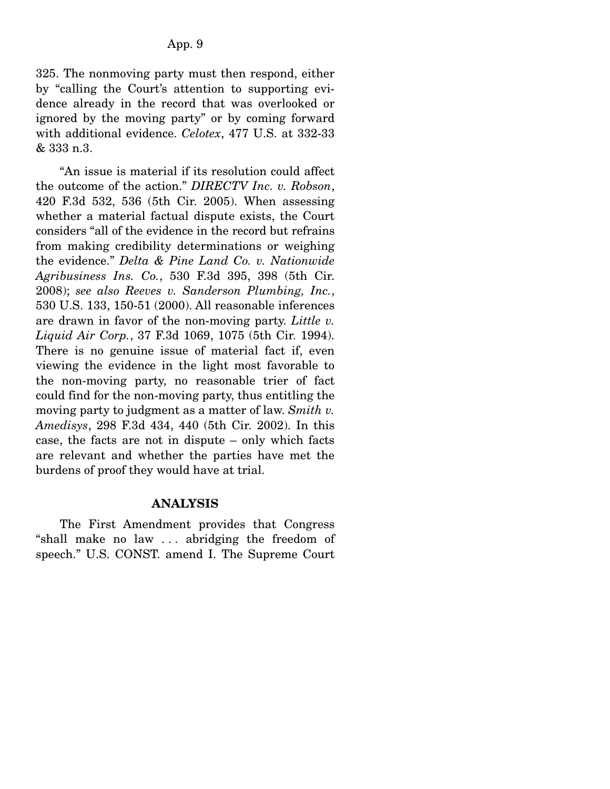325. The nonmoving party must then respond, either by "calling the Court's attention to supporting evidence already in the record that was overlooked or ignored by the moving party" or by coming forward with additional evidence. *Celotex*, 477 U.S. at 332-33 & 333 n.3.

 "An issue is material if its resolution could affect the outcome of the action." *DIRECTV Inc. v. Robson*, 420 F.3d 532, 536 (5th Cir. 2005). When assessing whether a material factual dispute exists, the Court considers "all of the evidence in the record but refrains from making credibility determinations or weighing the evidence." *Delta & Pine Land Co. v. Nationwide Agribusiness Ins. Co.*, 530 F.3d 395, 398 (5th Cir. 2008); *see also Reeves v. Sanderson Plumbing, Inc.*, 530 U.S. 133, 150-51 (2000). All reasonable inferences are drawn in favor of the non-moving party. *Little v. Liquid Air Corp.*, 37 F.3d 1069, 1075 (5th Cir. 1994). There is no genuine issue of material fact if, even viewing the evidence in the light most favorable to the non-moving party, no reasonable trier of fact could find for the non-moving party, thus entitling the moving party to judgment as a matter of law. *Smith v. Amedisys*, 298 F.3d 434, 440 (5th Cir. 2002). In this case, the facts are not in dispute – only which facts are relevant and whether the parties have met the burdens of proof they would have at trial.

#### **ANALYSIS**

The First Amendment provides that Congress "shall make no law . . . abridging the freedom of speech." U.S. CONST. amend I. The Supreme Court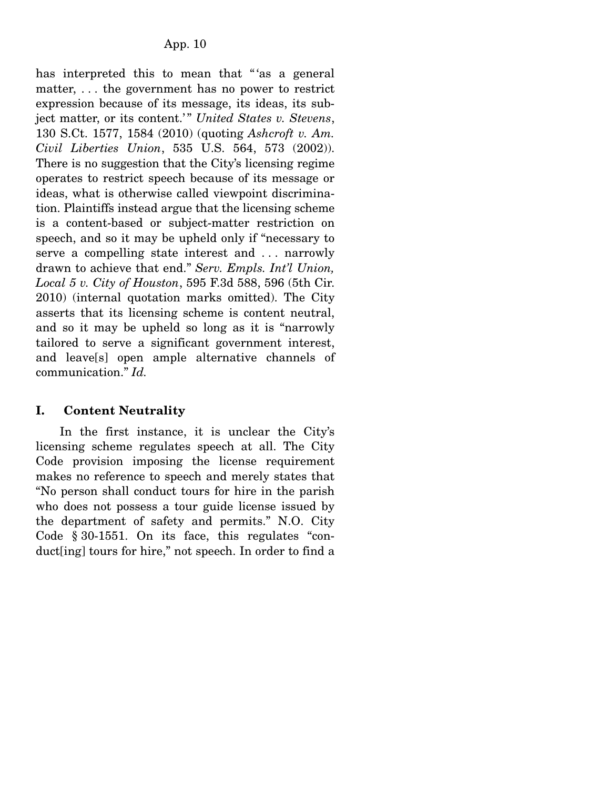has interpreted this to mean that "'as a general matter, . . . the government has no power to restrict expression because of its message, its ideas, its subject matter, or its content.'" United States v. Stevens, 130 S.Ct. 1577, 1584 (2010) (quoting *Ashcroft v. Am. Civil Liberties Union*, 535 U.S. 564, 573 (2002)). There is no suggestion that the City's licensing regime operates to restrict speech because of its message or ideas, what is otherwise called viewpoint discrimination. Plaintiffs instead argue that the licensing scheme is a content-based or subject-matter restriction on speech, and so it may be upheld only if "necessary to serve a compelling state interest and ... narrowly drawn to achieve that end." *Serv. Empls. Int'l Union, Local 5 v. City of Houston*, 595 F.3d 588, 596 (5th Cir. 2010) (internal quotation marks omitted). The City asserts that its licensing scheme is content neutral, and so it may be upheld so long as it is "narrowly tailored to serve a significant government interest, and leave[s] open ample alternative channels of communication." *Id.*

# **I. Content Neutrality**

In the first instance, it is unclear the City's licensing scheme regulates speech at all. The City Code provision imposing the license requirement makes no reference to speech and merely states that "No person shall conduct tours for hire in the parish who does not possess a tour guide license issued by the department of safety and permits." N.O. City Code § 30-1551. On its face, this regulates "conduct[ing] tours for hire," not speech. In order to find a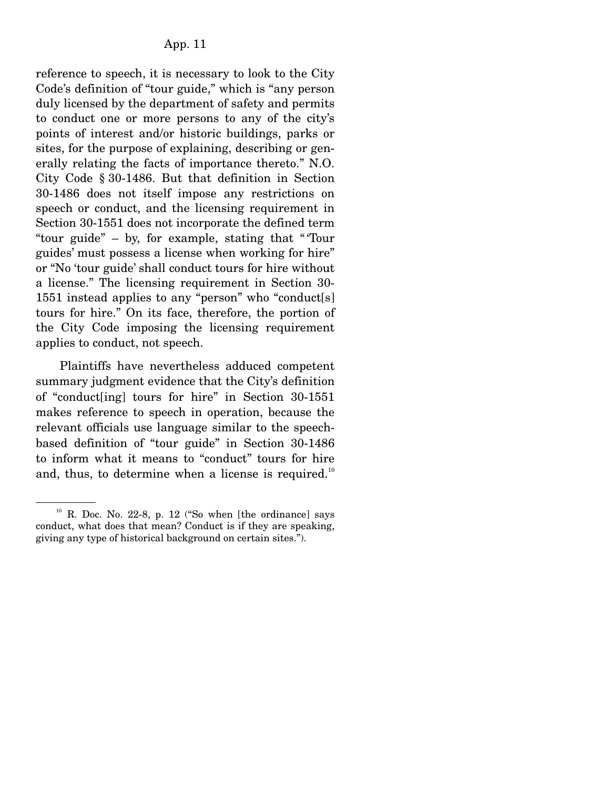reference to speech, it is necessary to look to the City Code's definition of "tour guide," which is "any person duly licensed by the department of safety and permits to conduct one or more persons to any of the city's points of interest and/or historic buildings, parks or sites, for the purpose of explaining, describing or generally relating the facts of importance thereto." N.O. City Code § 30-1486. But that definition in Section 30-1486 does not itself impose any restrictions on speech or conduct, and the licensing requirement in Section 30-1551 does not incorporate the defined term "tour guide" – by, for example, stating that " 'Tour guides' must possess a license when working for hire" or "No 'tour guide' shall conduct tours for hire without a license." The licensing requirement in Section 30- 1551 instead applies to any "person" who "conduct[s] tours for hire." On its face, therefore, the portion of the City Code imposing the licensing requirement applies to conduct, not speech.

 Plaintiffs have nevertheless adduced competent summary judgment evidence that the City's definition of "conduct[ing] tours for hire" in Section 30-1551 makes reference to speech in operation, because the relevant officials use language similar to the speechbased definition of "tour guide" in Section 30-1486 to inform what it means to "conduct" tours for hire and, thus, to determine when a license is required.<sup>10</sup>

 $10$  R. Doc. No. 22-8, p. 12 ("So when [the ordinance] says conduct, what does that mean? Conduct is if they are speaking, giving any type of historical background on certain sites.").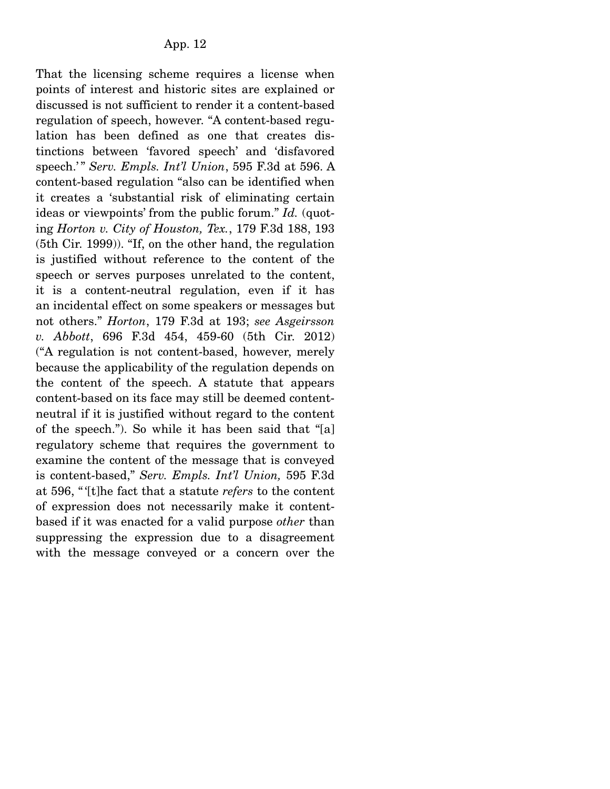That the licensing scheme requires a license when points of interest and historic sites are explained or discussed is not sufficient to render it a content-based regulation of speech, however. "A content-based regulation has been defined as one that creates distinctions between 'favored speech' and 'disfavored speech.' " *Serv. Empls. Int'l Union*, 595 F.3d at 596. A content-based regulation "also can be identified when it creates a 'substantial risk of eliminating certain ideas or viewpoints' from the public forum." *Id.* (quoting *Horton v. City of Houston, Tex.*, 179 F.3d 188, 193 (5th Cir. 1999)). "If, on the other hand, the regulation is justified without reference to the content of the speech or serves purposes unrelated to the content, it is a content-neutral regulation, even if it has an incidental effect on some speakers or messages but not others." *Horton*, 179 F.3d at 193; *see Asgeirsson v. Abbott*, 696 F.3d 454, 459-60 (5th Cir. 2012) ("A regulation is not content-based, however, merely because the applicability of the regulation depends on the content of the speech. A statute that appears content-based on its face may still be deemed contentneutral if it is justified without regard to the content of the speech."). So while it has been said that "[a] regulatory scheme that requires the government to examine the content of the message that is conveyed is content-based," *Serv. Empls. Int'l Union,* 595 F.3d at 596, " '[t]he fact that a statute *refers* to the content of expression does not necessarily make it contentbased if it was enacted for a valid purpose *other* than suppressing the expression due to a disagreement with the message conveyed or a concern over the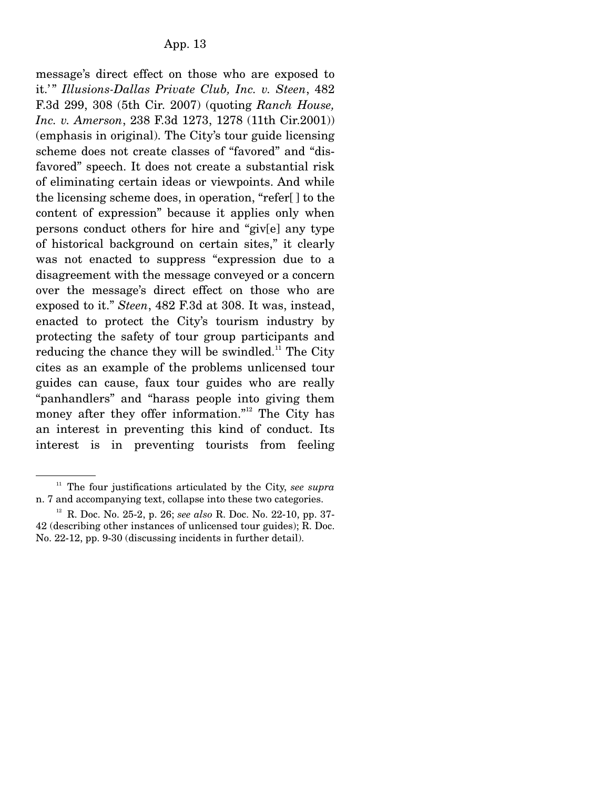message's direct effect on those who are exposed to it.'" *Illusions-Dallas Private Club, Inc. v. Steen, 482* F.3d 299, 308 (5th Cir. 2007) (quoting *Ranch House, Inc. v. Amerson*, 238 F.3d 1273, 1278 (11th Cir.2001)) (emphasis in original). The City's tour guide licensing scheme does not create classes of "favored" and "disfavored" speech. It does not create a substantial risk of eliminating certain ideas or viewpoints. And while the licensing scheme does, in operation, "refer[ ] to the content of expression" because it applies only when persons conduct others for hire and "giv[e] any type of historical background on certain sites," it clearly was not enacted to suppress "expression due to a disagreement with the message conveyed or a concern over the message's direct effect on those who are exposed to it." *Steen*, 482 F.3d at 308. It was, instead, enacted to protect the City's tourism industry by protecting the safety of tour group participants and reducing the chance they will be swindled.<sup>11</sup> The City cites as an example of the problems unlicensed tour guides can cause, faux tour guides who are really "panhandlers" and "harass people into giving them money after they offer information."<sup>12</sup> The City has an interest in preventing this kind of conduct. Its interest is in preventing tourists from feeling

<sup>11</sup> The four justifications articulated by the City, *see supra* n. 7 and accompanying text, collapse into these two categories.

<sup>12</sup> R. Doc. No. 25-2, p. 26; *see also* R. Doc. No. 22-10, pp. 37- 42 (describing other instances of unlicensed tour guides); R. Doc. No. 22-12, pp. 9-30 (discussing incidents in further detail).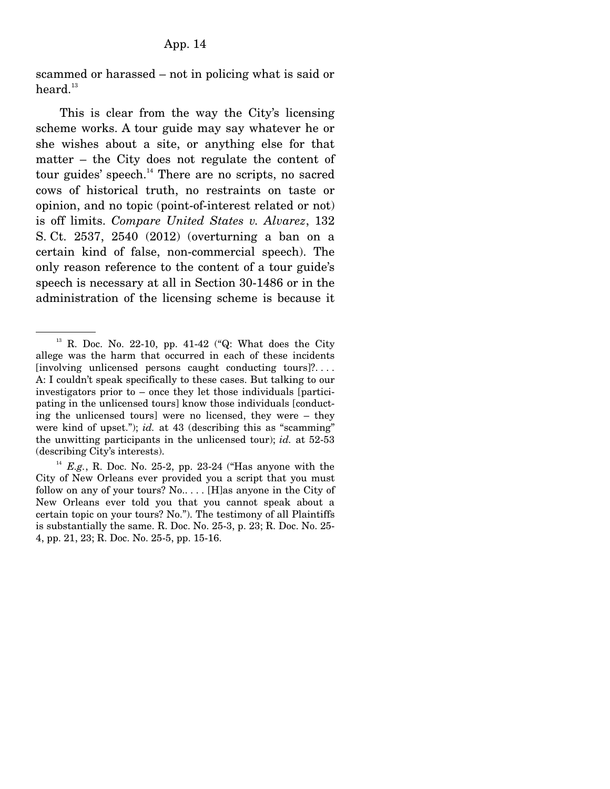scammed or harassed – not in policing what is said or heard. $13$ 

 This is clear from the way the City's licensing scheme works. A tour guide may say whatever he or she wishes about a site, or anything else for that matter – the City does not regulate the content of tour guides' speech.<sup>14</sup> There are no scripts, no sacred cows of historical truth, no restraints on taste or opinion, and no topic (point-of-interest related or not) is off limits. *Compare United States v. Alvarez*, 132 S. Ct. 2537, 2540 (2012) (overturning a ban on a certain kind of false, non-commercial speech). The only reason reference to the content of a tour guide's speech is necessary at all in Section 30-1486 or in the administration of the licensing scheme is because it

 $13$  R. Doc. No. 22-10, pp. 41-42 ("Q: What does the City allege was the harm that occurred in each of these incidents [involving unlicensed persons caught conducting tours]?. . . . A: I couldn't speak specifically to these cases. But talking to our investigators prior to – once they let those individuals [participating in the unlicensed tours] know those individuals [conducting the unlicensed tours] were no licensed, they were – they were kind of upset."); *id.* at 43 (describing this as "scamming" the unwitting participants in the unlicensed tour); *id.* at 52-53 (describing City's interests).

 $14$  *E.g.*, R. Doc. No. 25-2, pp. 23-24 ("Has anyone with the City of New Orleans ever provided you a script that you must follow on any of your tours? No..... [H]as anyone in the City of New Orleans ever told you that you cannot speak about a certain topic on your tours? No."). The testimony of all Plaintiffs is substantially the same. R. Doc. No. 25-3, p. 23; R. Doc. No. 25- 4, pp. 21, 23; R. Doc. No. 25-5, pp. 15-16.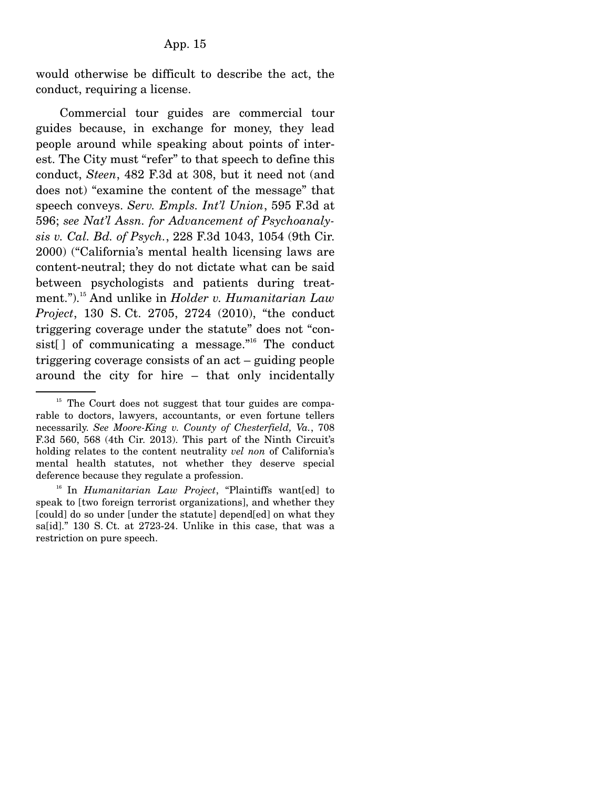would otherwise be difficult to describe the act, the conduct, requiring a license.

 Commercial tour guides are commercial tour guides because, in exchange for money, they lead people around while speaking about points of interest. The City must "refer" to that speech to define this conduct, *Steen*, 482 F.3d at 308, but it need not (and does not) "examine the content of the message" that speech conveys. *Serv. Empls. Int'l Union*, 595 F.3d at 596; *see Nat'l Assn. for Advancement of Psychoanalysis v. Cal. Bd. of Psych.*, 228 F.3d 1043, 1054 (9th Cir. 2000) ("California's mental health licensing laws are content-neutral; they do not dictate what can be said between psychologists and patients during treatment.").15 And unlike in *Holder v. Humanitarian Law Project*, 130 S. Ct. 2705, 2724 (2010), "the conduct triggering coverage under the statute" does not "consist[] of communicating a message. $n^{16}$  The conduct triggering coverage consists of an act – guiding people around the city for hire – that only incidentally

 $15$  The Court does not suggest that tour guides are comparable to doctors, lawyers, accountants, or even fortune tellers necessarily. *See Moore-King v. County of Chesterfield, Va.*, 708 F.3d 560, 568 (4th Cir. 2013). This part of the Ninth Circuit's holding relates to the content neutrality *vel non* of California's mental health statutes, not whether they deserve special deference because they regulate a profession.

<sup>16</sup> In *Humanitarian Law Project*, "Plaintiffs want[ed] to speak to [two foreign terrorist organizations], and whether they [could] do so under [under the statute] depend[ed] on what they sa[id]." 130 S. Ct. at 2723-24. Unlike in this case, that was a restriction on pure speech.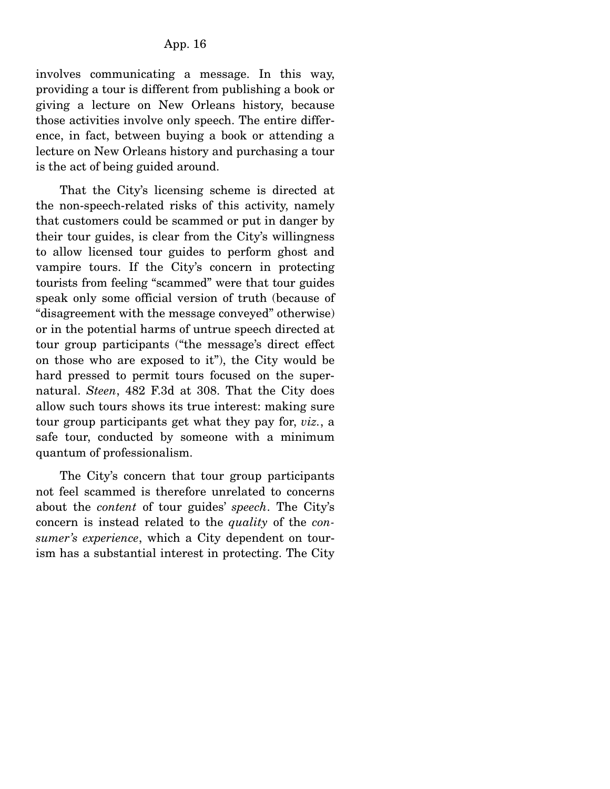involves communicating a message. In this way, providing a tour is different from publishing a book or giving a lecture on New Orleans history, because those activities involve only speech. The entire difference, in fact, between buying a book or attending a lecture on New Orleans history and purchasing a tour is the act of being guided around.

 That the City's licensing scheme is directed at the non-speech-related risks of this activity, namely that customers could be scammed or put in danger by their tour guides, is clear from the City's willingness to allow licensed tour guides to perform ghost and vampire tours. If the City's concern in protecting tourists from feeling "scammed" were that tour guides speak only some official version of truth (because of "disagreement with the message conveyed" otherwise) or in the potential harms of untrue speech directed at tour group participants ("the message's direct effect on those who are exposed to it"), the City would be hard pressed to permit tours focused on the supernatural. *Steen*, 482 F.3d at 308. That the City does allow such tours shows its true interest: making sure tour group participants get what they pay for, *viz.*, a safe tour, conducted by someone with a minimum quantum of professionalism.

 The City's concern that tour group participants not feel scammed is therefore unrelated to concerns about the *content* of tour guides' *speech*. The City's concern is instead related to the *quality* of the *consumer's experience*, which a City dependent on tourism has a substantial interest in protecting. The City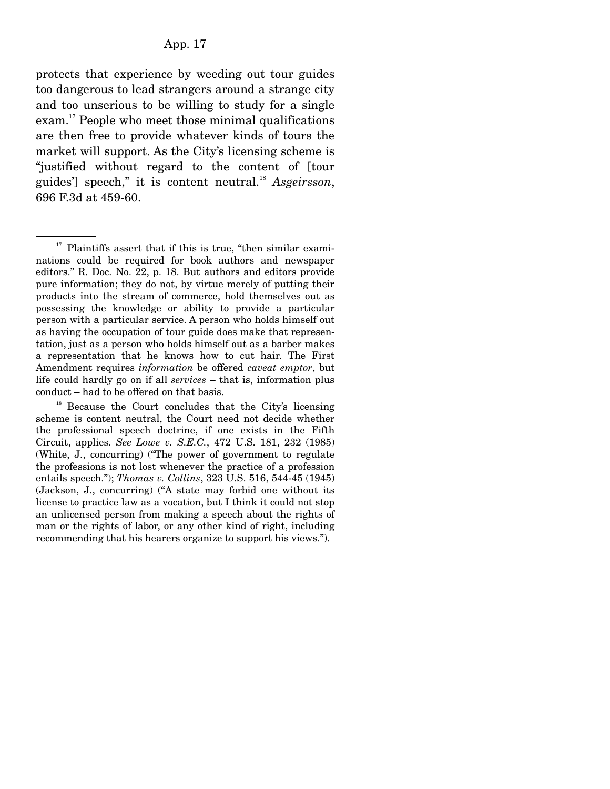protects that experience by weeding out tour guides too dangerous to lead strangers around a strange city and too unserious to be willing to study for a single exam.<sup>17</sup> People who meet those minimal qualifications are then free to provide whatever kinds of tours the market will support. As the City's licensing scheme is "justified without regard to the content of [tour guides'] speech," it is content neutral.<sup>18</sup> Asgeirsson, 696 F.3d at 459-60.

 $18$  Because the Court concludes that the City's licensing scheme is content neutral, the Court need not decide whether the professional speech doctrine, if one exists in the Fifth Circuit, applies. *See Lowe v. S.E.C.*, 472 U.S. 181, 232 (1985) (White, J., concurring) ("The power of government to regulate the professions is not lost whenever the practice of a profession entails speech."); *Thomas v. Collins*, 323 U.S. 516, 544-45 (1945) (Jackson, J., concurring) ("A state may forbid one without its license to practice law as a vocation, but I think it could not stop an unlicensed person from making a speech about the rights of man or the rights of labor, or any other kind of right, including recommending that his hearers organize to support his views.").

 $17$  Plaintiffs assert that if this is true, "then similar examinations could be required for book authors and newspaper editors." R. Doc. No. 22, p. 18. But authors and editors provide pure information; they do not, by virtue merely of putting their products into the stream of commerce, hold themselves out as possessing the knowledge or ability to provide a particular person with a particular service. A person who holds himself out as having the occupation of tour guide does make that representation, just as a person who holds himself out as a barber makes a representation that he knows how to cut hair. The First Amendment requires *information* be offered *caveat emptor*, but life could hardly go on if all *services* – that is, information plus conduct – had to be offered on that basis.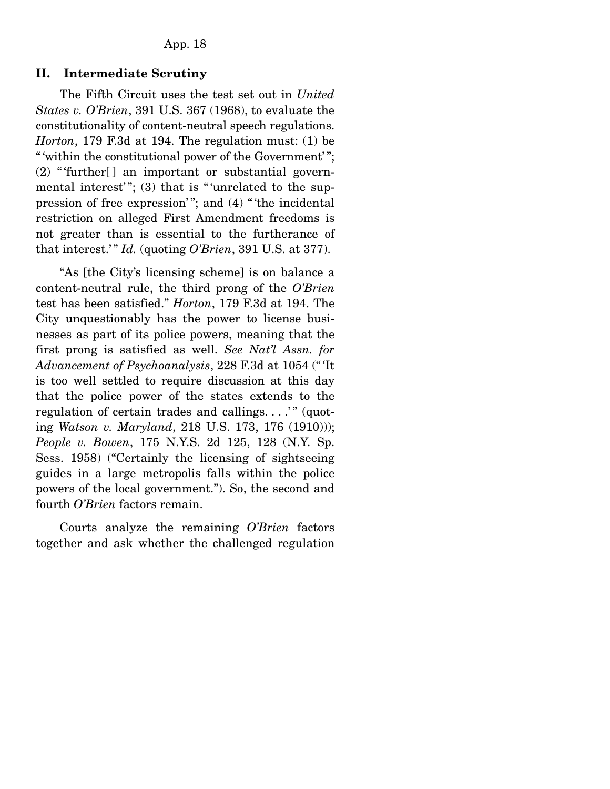#### **II. Intermediate Scrutiny**

The Fifth Circuit uses the test set out in *United States v. O'Brien*, 391 U.S. 367 (1968), to evaluate the constitutionality of content-neutral speech regulations. *Horton*, 179 F.3d at 194. The regulation must: (1) be " within the constitutional power of the Government'";  $(2)$  "further[] an important or substantial governmental interest'"; (3) that is "'unrelated to the suppression of free expression'"; and (4) "the incidental restriction on alleged First Amendment freedoms is not greater than is essential to the furtherance of that interest.'"  $Id$ . (quoting  $O'Brien$ , 391 U.S. at 377).

 "As [the City's licensing scheme] is on balance a content-neutral rule, the third prong of the *O'Brien* test has been satisfied." *Horton*, 179 F.3d at 194. The City unquestionably has the power to license businesses as part of its police powers, meaning that the first prong is satisfied as well. *See Nat'l Assn. for Advancement of Psychoanalysis*, 228 F.3d at 1054 (" 'It is too well settled to require discussion at this day that the police power of the states extends to the regulation of certain trades and callings. . . .' " (quoting *Watson v. Maryland*, 218 U.S. 173, 176 (1910))); *People v. Bowen*, 175 N.Y.S. 2d 125, 128 (N.Y. Sp. Sess. 1958) ("Certainly the licensing of sightseeing guides in a large metropolis falls within the police powers of the local government."). So, the second and fourth *O'Brien* factors remain.

 Courts analyze the remaining *O'Brien* factors together and ask whether the challenged regulation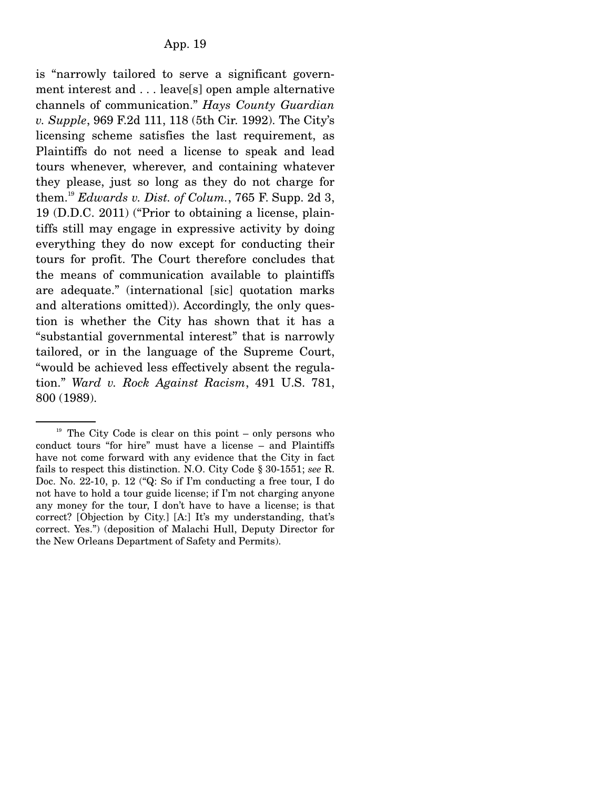is "narrowly tailored to serve a significant government interest and . . . leave[s] open ample alternative channels of communication." *Hays County Guardian v. Supple*, 969 F.2d 111, 118 (5th Cir. 1992). The City's licensing scheme satisfies the last requirement, as Plaintiffs do not need a license to speak and lead tours whenever, wherever, and containing whatever they please, just so long as they do not charge for them.19 *Edwards v. Dist. of Colum.*, 765 F. Supp. 2d 3, 19 (D.D.C. 2011) ("Prior to obtaining a license, plaintiffs still may engage in expressive activity by doing everything they do now except for conducting their tours for profit. The Court therefore concludes that the means of communication available to plaintiffs are adequate." (international [sic] quotation marks and alterations omitted)). Accordingly, the only question is whether the City has shown that it has a "substantial governmental interest" that is narrowly tailored, or in the language of the Supreme Court, "would be achieved less effectively absent the regulation." *Ward v. Rock Against Racism*, 491 U.S. 781, 800 (1989).

 $19$  The City Code is clear on this point – only persons who conduct tours "for hire" must have a license – and Plaintiffs have not come forward with any evidence that the City in fact fails to respect this distinction. N.O. City Code § 30-1551; *see* R. Doc. No. 22-10, p. 12 ("Q: So if I'm conducting a free tour, I do not have to hold a tour guide license; if I'm not charging anyone any money for the tour, I don't have to have a license; is that correct? [Objection by City.] [A:] It's my understanding, that's correct. Yes.") (deposition of Malachi Hull, Deputy Director for the New Orleans Department of Safety and Permits).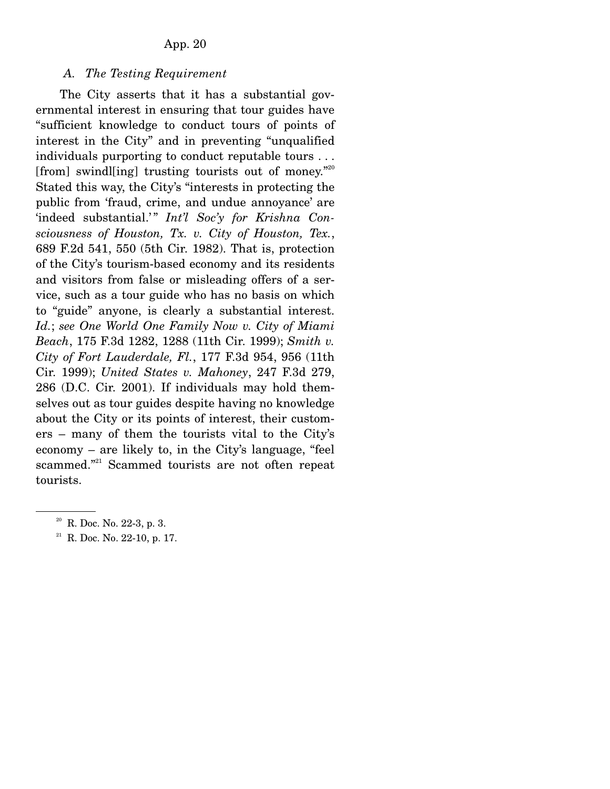#### *A. The Testing Requirement*

The City asserts that it has a substantial governmental interest in ensuring that tour guides have "sufficient knowledge to conduct tours of points of interest in the City" and in preventing "unqualified individuals purporting to conduct reputable tours . . . [from] swindl[ing] trusting tourists out of money. $n^{20}$ Stated this way, the City's "interests in protecting the public from 'fraud, crime, and undue annoyance' are 'indeed substantial.'" *Int'l Soc'y for Krishna Consciousness of Houston, Tx. v. City of Houston, Tex.*, 689 F.2d 541, 550 (5th Cir. 1982). That is, protection of the City's tourism-based economy and its residents and visitors from false or misleading offers of a service, such as a tour guide who has no basis on which to "guide" anyone, is clearly a substantial interest. *Id.*; *see One World One Family Now v. City of Miami Beach*, 175 F.3d 1282, 1288 (11th Cir. 1999); *Smith v. City of Fort Lauderdale, Fl.*, 177 F.3d 954, 956 (11th Cir. 1999); *United States v. Mahoney*, 247 F.3d 279, 286 (D.C. Cir. 2001). If individuals may hold themselves out as tour guides despite having no knowledge about the City or its points of interest, their customers – many of them the tourists vital to the City's economy – are likely to, in the City's language, "feel scammed."<sup>21</sup> Scammed tourists are not often repeat tourists.

 $20$  R. Doc. No. 22-3, p. 3.

<sup>&</sup>lt;sup>21</sup> R. Doc. No. 22-10, p. 17.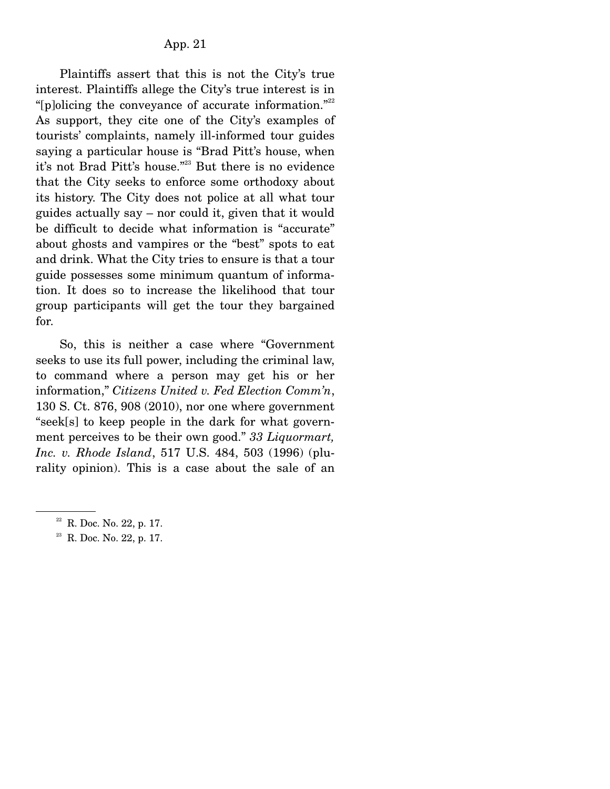Plaintiffs assert that this is not the City's true interest. Plaintiffs allege the City's true interest is in "[p]olicing the conveyance of accurate information."<sup>22</sup> As support, they cite one of the City's examples of tourists' complaints, namely ill-informed tour guides saying a particular house is "Brad Pitt's house, when it's not Brad Pitt's house."23 But there is no evidence that the City seeks to enforce some orthodoxy about its history. The City does not police at all what tour guides actually say – nor could it, given that it would be difficult to decide what information is "accurate" about ghosts and vampires or the "best" spots to eat and drink. What the City tries to ensure is that a tour guide possesses some minimum quantum of information. It does so to increase the likelihood that tour group participants will get the tour they bargained for.

 So, this is neither a case where "Government seeks to use its full power, including the criminal law, to command where a person may get his or her information," *Citizens United v. Fed Election Comm'n*, 130 S. Ct. 876, 908 (2010), nor one where government "seek[s] to keep people in the dark for what government perceives to be their own good." *33 Liquormart, Inc. v. Rhode Island*, 517 U.S. 484, 503 (1996) (plurality opinion). This is a case about the sale of an

 $22$  R. Doc. No. 22, p. 17.

<sup>&</sup>lt;sup>23</sup> R. Doc. No. 22, p. 17.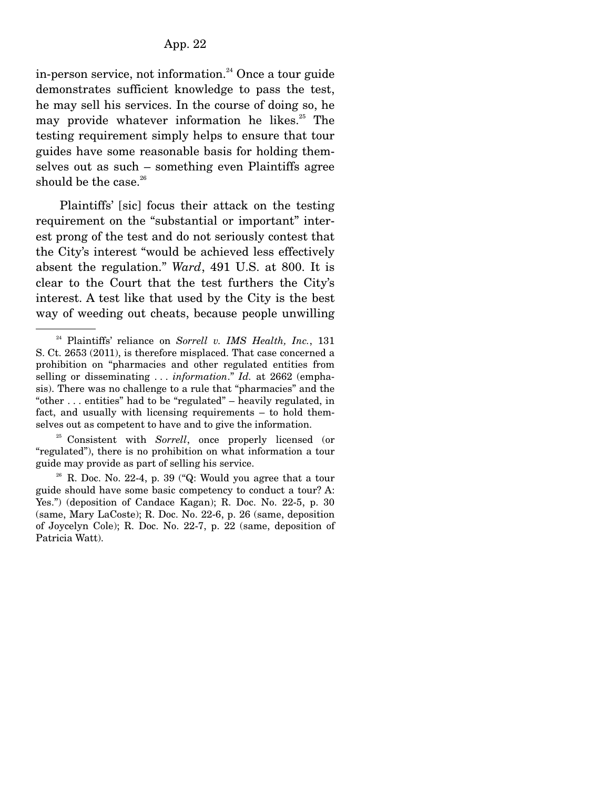in-person service, not information.<sup>24</sup> Once a tour guide demonstrates sufficient knowledge to pass the test, he may sell his services. In the course of doing so, he may provide whatever information he likes. $25$  The testing requirement simply helps to ensure that tour guides have some reasonable basis for holding themselves out as such – something even Plaintiffs agree should be the case. $26$ 

 Plaintiffs' [sic] focus their attack on the testing requirement on the "substantial or important" interest prong of the test and do not seriously contest that the City's interest "would be achieved less effectively absent the regulation." *Ward*, 491 U.S. at 800. It is clear to the Court that the test furthers the City's interest. A test like that used by the City is the best way of weeding out cheats, because people unwilling

25 Consistent with *Sorrell*, once properly licensed (or "regulated"), there is no prohibition on what information a tour guide may provide as part of selling his service.

<sup>24</sup> Plaintiffs' reliance on *Sorrell v. IMS Health, Inc.*, 131 S. Ct. 2653 (2011), is therefore misplaced. That case concerned a prohibition on "pharmacies and other regulated entities from selling or disseminating . . . *information*." *Id.* at 2662 (emphasis). There was no challenge to a rule that "pharmacies" and the "other . . . entities" had to be "regulated" – heavily regulated, in fact, and usually with licensing requirements – to hold themselves out as competent to have and to give the information.

 $26$  R. Doc. No. 22-4, p. 39 ("Q: Would you agree that a tour guide should have some basic competency to conduct a tour? A: Yes.") (deposition of Candace Kagan); R. Doc. No. 22-5, p. 30 (same, Mary LaCoste); R. Doc. No. 22-6, p. 26 (same, deposition of Joycelyn Cole); R. Doc. No. 22-7, p. 22 (same, deposition of Patricia Watt).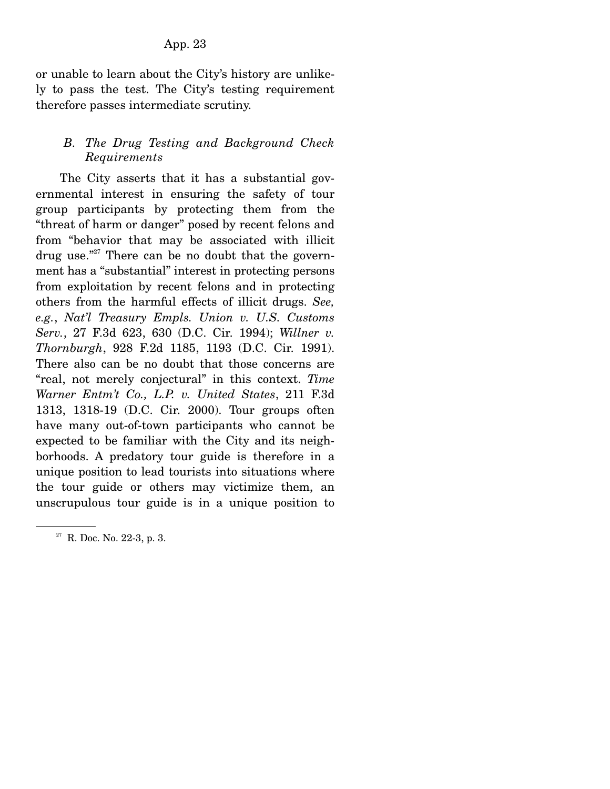or unable to learn about the City's history are unlikely to pass the test. The City's testing requirement therefore passes intermediate scrutiny.

# *B. The Drug Testing and Background Check Requirements*

 The City asserts that it has a substantial governmental interest in ensuring the safety of tour group participants by protecting them from the "threat of harm or danger" posed by recent felons and from "behavior that may be associated with illicit drug use."<sup>27</sup> There can be no doubt that the government has a "substantial" interest in protecting persons from exploitation by recent felons and in protecting others from the harmful effects of illicit drugs. *See, e.g.*, *Nat'l Treasury Empls. Union v. U.S. Customs Serv.*, 27 F.3d 623, 630 (D.C. Cir. 1994); *Willner v. Thornburgh*, 928 F.2d 1185, 1193 (D.C. Cir. 1991). There also can be no doubt that those concerns are "real, not merely conjectural" in this context. *Time Warner Entm't Co., L.P. v. United States*, 211 F.3d 1313, 1318-19 (D.C. Cir. 2000). Tour groups often have many out-of-town participants who cannot be expected to be familiar with the City and its neighborhoods. A predatory tour guide is therefore in a unique position to lead tourists into situations where the tour guide or others may victimize them, an unscrupulous tour guide is in a unique position to

<sup>&</sup>lt;sup>27</sup> R. Doc. No. 22-3, p. 3.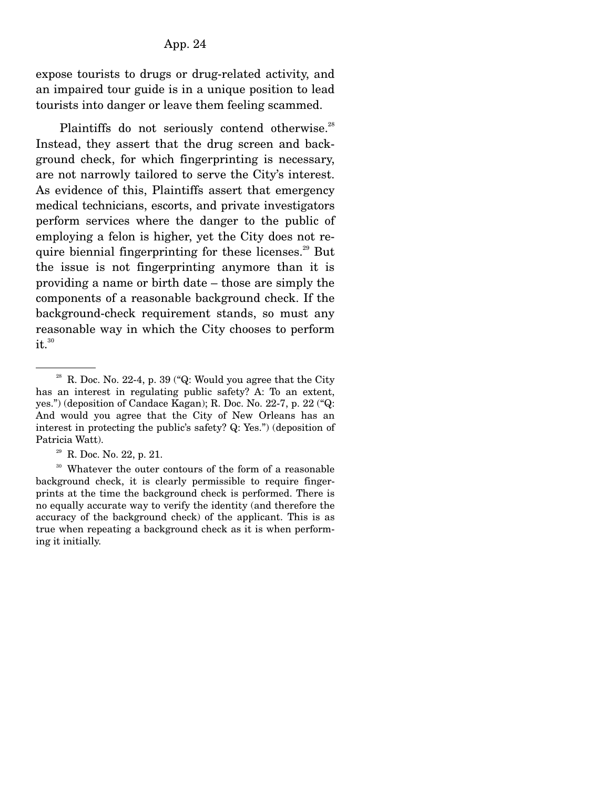expose tourists to drugs or drug-related activity, and an impaired tour guide is in a unique position to lead tourists into danger or leave them feeling scammed.

Plaintiffs do not seriously contend otherwise.<sup>28</sup> Instead, they assert that the drug screen and background check, for which fingerprinting is necessary, are not narrowly tailored to serve the City's interest. As evidence of this, Plaintiffs assert that emergency medical technicians, escorts, and private investigators perform services where the danger to the public of employing a felon is higher, yet the City does not require biennial fingerprinting for these licenses. $29$  But the issue is not fingerprinting anymore than it is providing a name or birth date – those are simply the components of a reasonable background check. If the background-check requirement stands, so must any reasonable way in which the City chooses to perform it.<sup>30</sup>

<sup>29</sup> R. Doc. No. 22, p. 21.

<sup>30</sup> Whatever the outer contours of the form of a reasonable background check, it is clearly permissible to require fingerprints at the time the background check is performed. There is no equally accurate way to verify the identity (and therefore the accuracy of the background check) of the applicant. This is as true when repeating a background check as it is when performing it initially.

<sup>&</sup>lt;sup>28</sup> R. Doc. No. 22-4, p. 39 ("Q: Would you agree that the City has an interest in regulating public safety? A: To an extent, yes.") (deposition of Candace Kagan); R. Doc. No. 22-7, p. 22 ("Q: And would you agree that the City of New Orleans has an interest in protecting the public's safety? Q: Yes.") (deposition of Patricia Watt).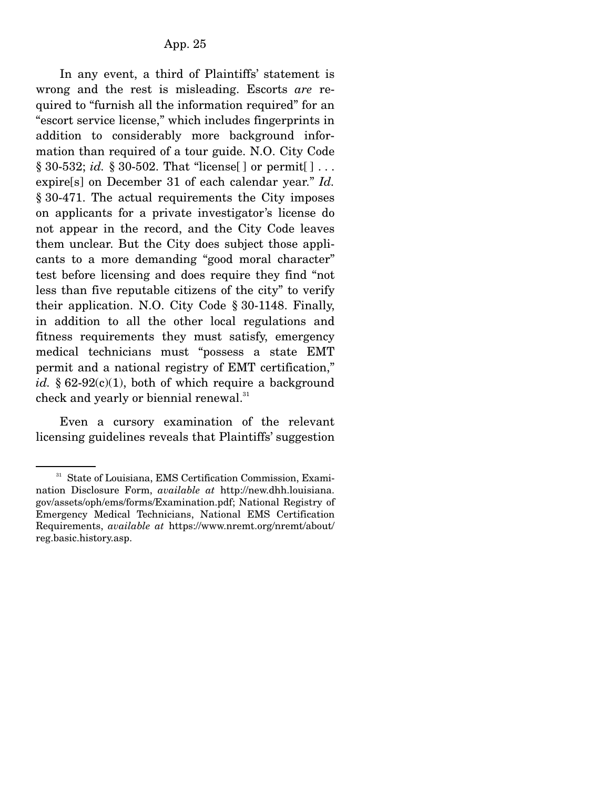In any event, a third of Plaintiffs' statement is wrong and the rest is misleading. Escorts *are* required to "furnish all the information required" for an "escort service license," which includes fingerprints in addition to considerably more background information than required of a tour guide. N.O. City Code § 30-532; *id.* § 30-502. That "license[ ] or permit[ ] . . . expire[s] on December 31 of each calendar year." *Id.* § 30-471. The actual requirements the City imposes on applicants for a private investigator's license do not appear in the record, and the City Code leaves them unclear. But the City does subject those applicants to a more demanding "good moral character" test before licensing and does require they find "not less than five reputable citizens of the city" to verify their application. N.O. City Code § 30-1148. Finally, in addition to all the other local regulations and fitness requirements they must satisfy, emergency medical technicians must "possess a state EMT permit and a national registry of EMT certification," *id.*  $\S 62-92(c)(1)$ , both of which require a background check and yearly or biennial renewal.<sup>31</sup>

 Even a cursory examination of the relevant licensing guidelines reveals that Plaintiffs' suggestion

<sup>&</sup>lt;sup>31</sup> State of Louisiana, EMS Certification Commission, Examination Disclosure Form, *available at* http://new.dhh.louisiana. gov/assets/oph/ems/forms/Examination.pdf; National Registry of Emergency Medical Technicians, National EMS Certification Requirements, *available at* https://www.nremt.org/nremt/about/ reg.basic.history.asp.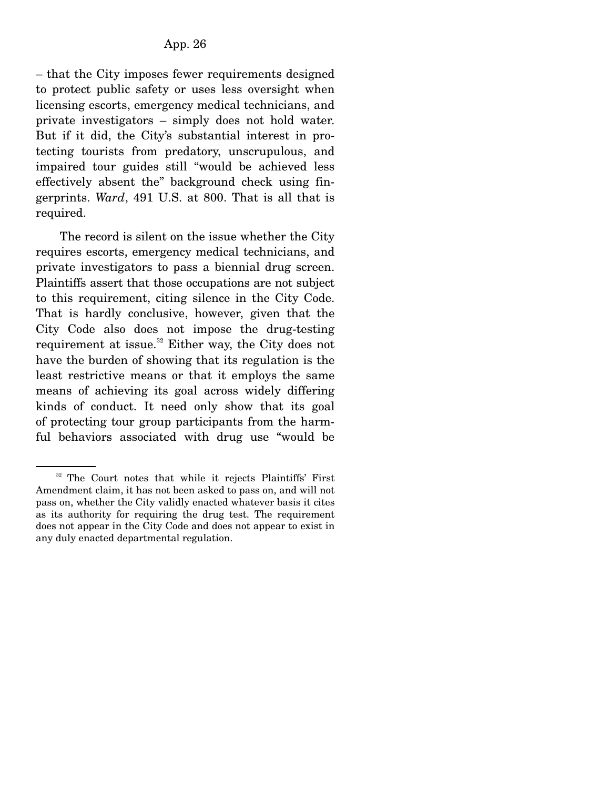– that the City imposes fewer requirements designed to protect public safety or uses less oversight when licensing escorts, emergency medical technicians, and private investigators – simply does not hold water. But if it did, the City's substantial interest in protecting tourists from predatory, unscrupulous, and impaired tour guides still "would be achieved less effectively absent the" background check using fingerprints. *Ward*, 491 U.S. at 800. That is all that is required.

 The record is silent on the issue whether the City requires escorts, emergency medical technicians, and private investigators to pass a biennial drug screen. Plaintiffs assert that those occupations are not subject to this requirement, citing silence in the City Code. That is hardly conclusive, however, given that the City Code also does not impose the drug-testing requirement at issue. $32$  Either way, the City does not have the burden of showing that its regulation is the least restrictive means or that it employs the same means of achieving its goal across widely differing kinds of conduct. It need only show that its goal of protecting tour group participants from the harmful behaviors associated with drug use "would be

<sup>&</sup>lt;sup>32</sup> The Court notes that while it rejects Plaintiffs' First Amendment claim, it has not been asked to pass on, and will not pass on, whether the City validly enacted whatever basis it cites as its authority for requiring the drug test. The requirement does not appear in the City Code and does not appear to exist in any duly enacted departmental regulation.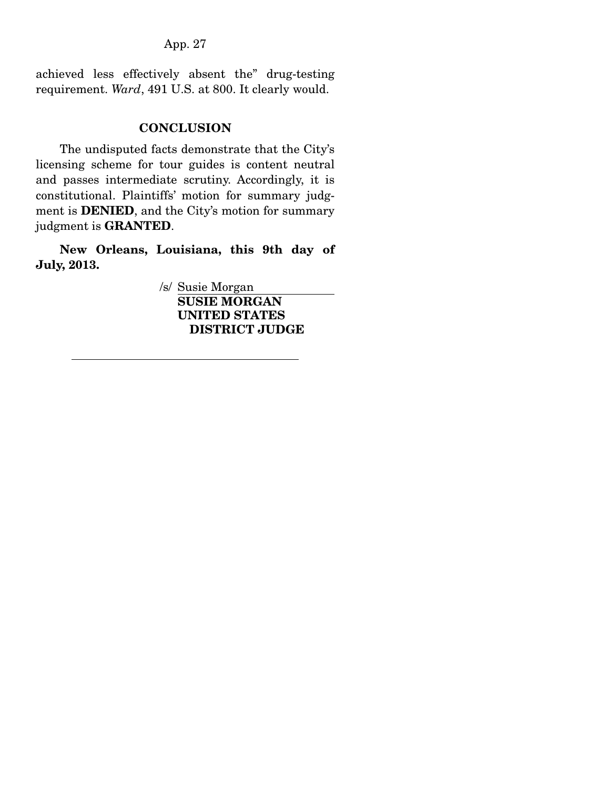achieved less effectively absent the" drug-testing requirement. *Ward*, 491 U.S. at 800. It clearly would.

## **CONCLUSION**

The undisputed facts demonstrate that the City's licensing scheme for tour guides is content neutral and passes intermediate scrutiny. Accordingly, it is constitutional. Plaintiffs' motion for summary judgment is **DENIED**, and the City's motion for summary judgment is **GRANTED**.

**New Orleans, Louisiana, this 9th day of July, 2013.** 

> /s/ Susie Morgan **SUSIE MORGAN UNITED STATES DISTRICT JUDGE**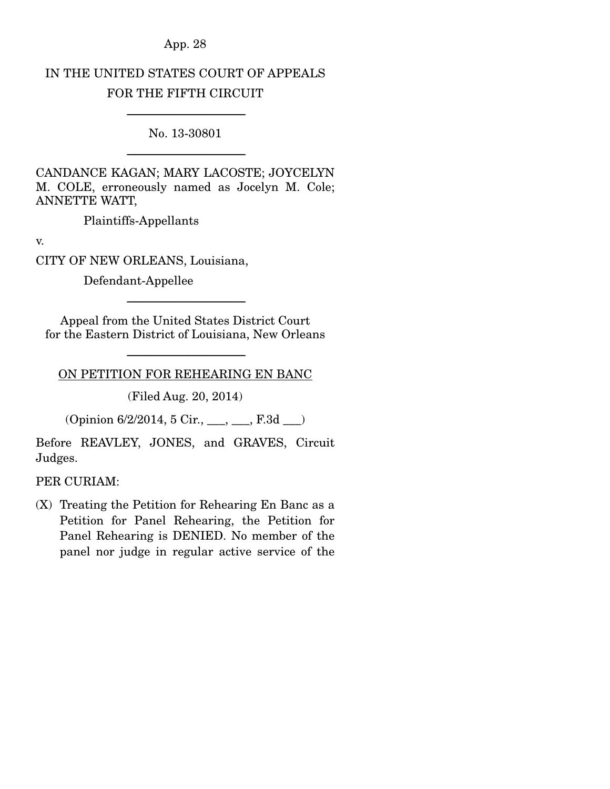# IN THE UNITED STATES COURT OF APPEALS FOR THE FIFTH CIRCUIT

----------------------------------------------------------------------- No. 13-30801

-----------------------------------------------------------------------

CANDANCE KAGAN; MARY LACOSTE; JOYCELYN M. COLE, erroneously named as Jocelyn M. Cole; ANNETTE WATT,

Plaintiffs-Appellants

v.

CITY OF NEW ORLEANS, Louisiana,

Defendant-Appellee

Appeal from the United States District Court for the Eastern District of Louisiana, New Orleans

-----------------------------------------------------------------------

----------------------------------------------------------------------- ON PETITION FOR REHEARING EN BANC

(Filed Aug. 20, 2014)

 $(Opinion 6/2/2014, 5 Cir., ..., E.3d$ 

Before REAVLEY, JONES, and GRAVES, Circuit Judges.

## PER CURIAM:

(X) Treating the Petition for Rehearing En Banc as a Petition for Panel Rehearing, the Petition for Panel Rehearing is DENIED. No member of the panel nor judge in regular active service of the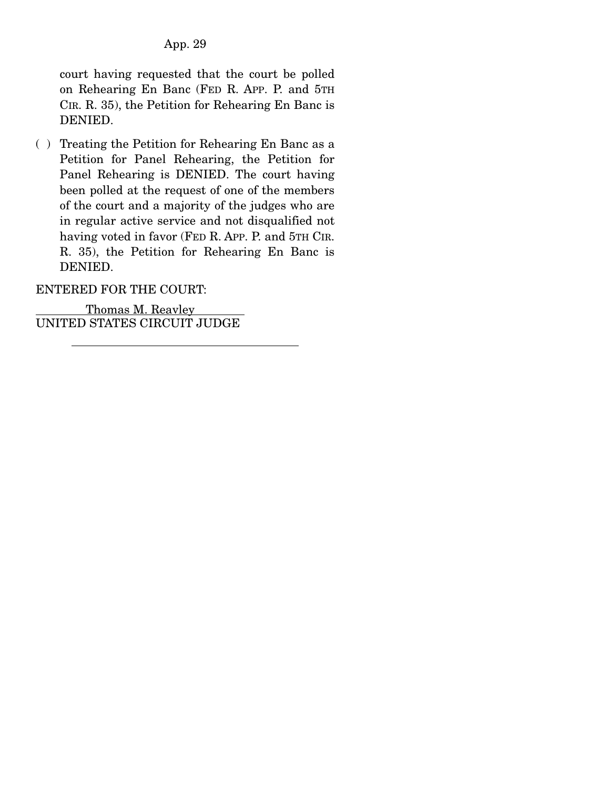court having requested that the court be polled on Rehearing En Banc (FED R. APP. P. and 5TH CIR. R. 35), the Petition for Rehearing En Banc is DENIED.

( ) Treating the Petition for Rehearing En Banc as a Petition for Panel Rehearing, the Petition for Panel Rehearing is DENIED. The court having been polled at the request of one of the members of the court and a majority of the judges who are in regular active service and not disqualified not having voted in favor (FED R. APP. P. and 5TH CIR. R. 35), the Petition for Rehearing En Banc is DENIED.

ENTERED FOR THE COURT:

 Thomas M. Reavley UNITED STATES CIRCUIT JUDGE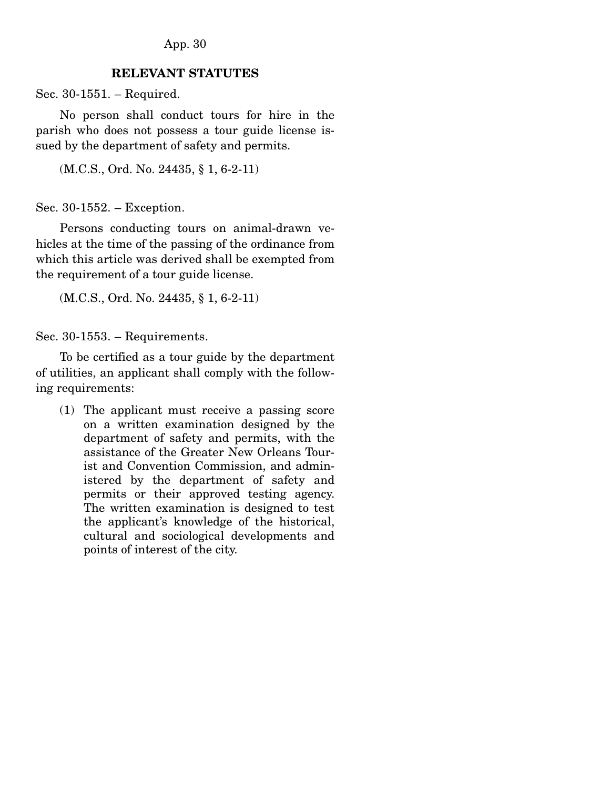## **RELEVANT STATUTES**

Sec. 30-1551. – Required.

 No person shall conduct tours for hire in the parish who does not possess a tour guide license issued by the department of safety and permits.

(M.C.S., Ord. No. 24435, § 1, 6-2-11)

Sec. 30-1552. – Exception.

 Persons conducting tours on animal-drawn vehicles at the time of the passing of the ordinance from which this article was derived shall be exempted from the requirement of a tour guide license.

(M.C.S., Ord. No. 24435, § 1, 6-2-11)

Sec. 30-1553. – Requirements.

 To be certified as a tour guide by the department of utilities, an applicant shall comply with the following requirements:

(1) The applicant must receive a passing score on a written examination designed by the department of safety and permits, with the assistance of the Greater New Orleans Tourist and Convention Commission, and administered by the department of safety and permits or their approved testing agency. The written examination is designed to test the applicant's knowledge of the historical, cultural and sociological developments and points of interest of the city.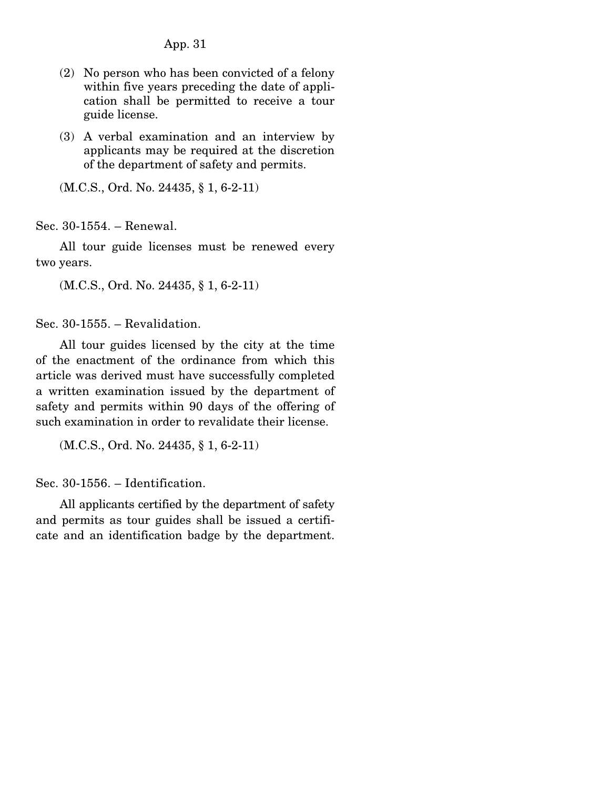- (2) No person who has been convicted of a felony within five years preceding the date of application shall be permitted to receive a tour guide license.
- (3) A verbal examination and an interview by applicants may be required at the discretion of the department of safety and permits.

(M.C.S., Ord. No. 24435, § 1, 6-2-11)

Sec. 30-1554. – Renewal.

 All tour guide licenses must be renewed every two years.

(M.C.S., Ord. No. 24435, § 1, 6-2-11)

Sec. 30-1555. – Revalidation.

 All tour guides licensed by the city at the time of the enactment of the ordinance from which this article was derived must have successfully completed a written examination issued by the department of safety and permits within 90 days of the offering of such examination in order to revalidate their license.

(M.C.S., Ord. No. 24435, § 1, 6-2-11)

Sec. 30-1556. – Identification.

 All applicants certified by the department of safety and permits as tour guides shall be issued a certificate and an identification badge by the department.